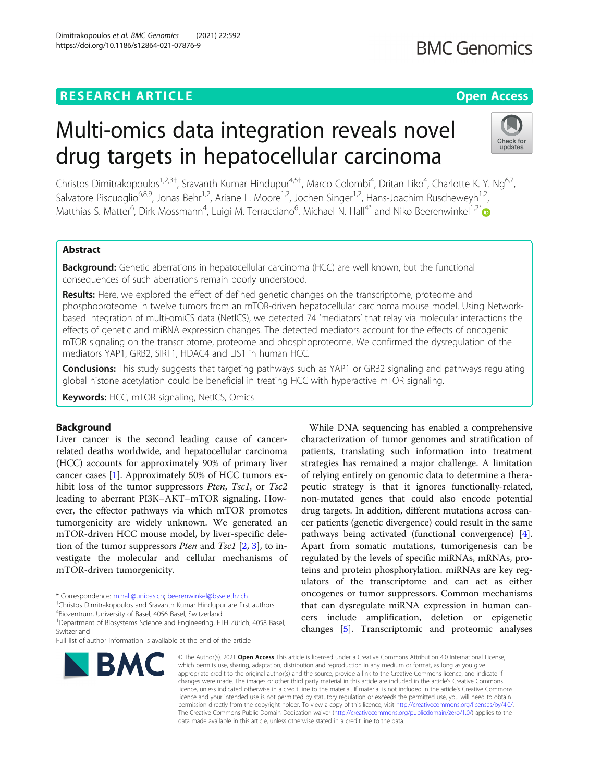# **RESEARCH ARTICLE Example 2014 CONSIDERING A RESEARCH ARTICLE**

# Multi-omics data integration reveals novel drug targets in hepatocellular carcinoma

Christos Dimitrakopoulos<sup>1,2,3†</sup>, Sravanth Kumar Hindupur<sup>4,5†</sup>, Marco Colombi<sup>4</sup>, Dritan Liko<sup>4</sup>, Charlotte K. Y. Ng<sup>6,7</sup>, Salvatore Piscuoglio<sup>6,8,9</sup>, Jonas Behr<sup>1,2</sup>, Ariane L. Moore<sup>1,2</sup>, Jochen Singer<sup>1,2</sup>, Hans-Joachim Ruscheweyh<sup>1,2</sup>, Matthias S. Matter<sup>6</sup>, Dirk Mossmann<sup>4</sup>, Luigi M. Terracciano<sup>6</sup>, Michael N. Hall<sup>4[\\*](http://orcid.org/0000-0002-0573-6119)</sup> and Niko Beerenwinkel<sup>1,2\*</sup>

# Abstract

Background: Genetic aberrations in hepatocellular carcinoma (HCC) are well known, but the functional consequences of such aberrations remain poorly understood.

Results: Here, we explored the effect of defined genetic changes on the transcriptome, proteome and phosphoproteome in twelve tumors from an mTOR-driven hepatocellular carcinoma mouse model. Using Networkbased Integration of multi-omiCS data (NetICS), we detected 74 'mediators' that relay via molecular interactions the effects of genetic and miRNA expression changes. The detected mediators account for the effects of oncogenic mTOR signaling on the transcriptome, proteome and phosphoproteome. We confirmed the dysregulation of the mediators YAP1, GRB2, SIRT1, HDAC4 and LIS1 in human HCC.

Conclusions: This study suggests that targeting pathways such as YAP1 or GRB2 signaling and pathways regulating global histone acetylation could be beneficial in treating HCC with hyperactive mTOR signaling.

Keywords: HCC, mTOR signaling, NetICS, Omics

# Background

Liver cancer is the second leading cause of cancerrelated deaths worldwide, and hepatocellular carcinoma (HCC) accounts for approximately 90% of primary liver cancer cases [\[1](#page-25-0)]. Approximately 50% of HCC tumors exhibit loss of the tumor suppressors *Pten*, *Tsc1*, or *Tsc2* leading to aberrant PI3K–AKT–mTOR signaling. However, the effector pathways via which mTOR promotes tumorgenicity are widely unknown. We generated an mTOR-driven HCC mouse model, by liver-specific deletion of the tumor suppressors *Pten* and *Tsc1* [[2,](#page-25-0) [3\]](#page-25-0), to investigate the molecular and cellular mechanisms of mTOR-driven tumorgenicity.

\* Correspondence: [m.hall@unibas.ch;](mailto:m.hall@unibas.ch) [beerenwinkel@bsse.ethz.ch](mailto:beerenwinkel@bsse.ethz.ch) †

<sup>†</sup>Christos Dimitrakopoulos and Sravanth Kumar Hindupur are first authors.

4 Biozentrum, University of Basel, 4056 Basel, Switzerland

<sup>1</sup>Department of Biosystems Science and Engineering, ETH Zürich, 4058 Basel, Switzerland

Full list of author information is available at the end of the article

#### © The Author(s), 2021 **Open Access** This article is licensed under a Creative Commons Attribution 4.0 International License, which permits use, sharing, adaptation, distribution and reproduction in any medium or format, as long as you give appropriate credit to the original author(s) and the source, provide a link to the Creative Commons licence, and indicate if changes were made. The images or other third party material in this article are included in the article's Creative Commons licence, unless indicated otherwise in a credit line to the material. If material is not included in the article's Creative Commons licence and your intended use is not permitted by statutory regulation or exceeds the permitted use, you will need to obtain permission directly from the copyright holder. To view a copy of this licence, visit [http://creativecommons.org/licenses/by/4.0/.](http://creativecommons.org/licenses/by/4.0/) The Creative Commons Public Domain Dedication waiver [\(http://creativecommons.org/publicdomain/zero/1.0/](http://creativecommons.org/publicdomain/zero/1.0/)) applies to the data made available in this article, unless otherwise stated in a credit line to the data.

Apart from somatic mutations, tumorigenesis can be regulated by the levels of specific miRNAs, mRNAs, proteins and protein phosphorylation. miRNAs are key regulators of the transcriptome and can act as either oncogenes or tumor suppressors. Common mechanisms that can dysregulate miRNA expression in human cancers include amplification, deletion or epigenetic changes [\[5](#page-25-0)]. Transcriptomic and proteomic analyses

While DNA sequencing has enabled a comprehensive characterization of tumor genomes and stratification of patients, translating such information into treatment strategies has remained a major challenge. A limitation of relying entirely on genomic data to determine a therapeutic strategy is that it ignores functionally-related, non-mutated genes that could also encode potential drug targets. In addition, different mutations across cancer patients (genetic divergence) could result in the same pathways being activated (functional convergence) [\[4](#page-25-0)].





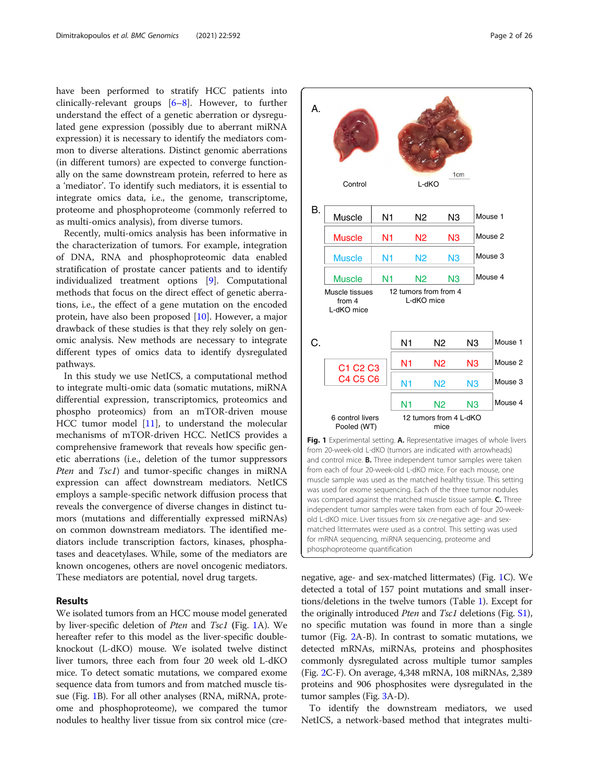have been performed to stratify HCC patients into clinically-relevant groups [\[6](#page-25-0)–[8](#page-25-0)]. However, to further understand the effect of a genetic aberration or dysregulated gene expression (possibly due to aberrant miRNA expression) it is necessary to identify the mediators common to diverse alterations. Distinct genomic aberrations (in different tumors) are expected to converge functionally on the same downstream protein, referred to here as a 'mediator'. To identify such mediators, it is essential to integrate omics data, i.e., the genome, transcriptome, proteome and phosphoproteome (commonly referred to as multi-omics analysis), from diverse tumors.

Recently, multi-omics analysis has been informative in the characterization of tumors. For example, integration of DNA, RNA and phosphoproteomic data enabled stratification of prostate cancer patients and to identify individualized treatment options [\[9\]](#page-25-0). Computational methods that focus on the direct effect of genetic aberrations, i.e., the effect of a gene mutation on the encoded protein, have also been proposed [[10\]](#page-25-0). However, a major drawback of these studies is that they rely solely on genomic analysis. New methods are necessary to integrate different types of omics data to identify dysregulated pathways.

In this study we use NetICS, a computational method to integrate multi-omic data (somatic mutations, miRNA differential expression, transcriptomics, proteomics and phospho proteomics) from an mTOR-driven mouse HCC tumor model [\[11\]](#page-25-0), to understand the molecular mechanisms of mTOR-driven HCC. NetICS provides a comprehensive framework that reveals how specific genetic aberrations (i.e., deletion of the tumor suppressors *Pten* and *Tsc1*) and tumor-specific changes in miRNA expression can affect downstream mediators. NetICS employs a sample-specific network diffusion process that reveals the convergence of diverse changes in distinct tumors (mutations and differentially expressed miRNAs) on common downstream mediators. The identified mediators include transcription factors, kinases, phosphatases and deacetylases. While, some of the mediators are known oncogenes, others are novel oncogenic mediators. These mediators are potential, novel drug targets.

#### Results

We isolated tumors from an HCC mouse model generated by liver-specific deletion of Pten and Tsc1 (Fig. 1A). We hereafter refer to this model as the liver-specific doubleknockout (L-dKO) mouse. We isolated twelve distinct liver tumors, three each from four 20 week old L-dKO mice. To detect somatic mutations, we compared exome sequence data from tumors and from matched muscle tissue (Fig. 1B). For all other analyses (RNA, miRNA, proteome and phosphoproteome), we compared the tumor nodules to healthy liver tissue from six control mice (cre-



negative, age- and sex-matched littermates) (Fig. 1C). We detected a total of 157 point mutations and small insertions/deletions in the twelve tumors (Table [1](#page-2-0)). Except for the originally introduced Pten and Tsc1 deletions (Fig. [S1](#page-24-0)), no specific mutation was found in more than a single tumor (Fig. [2A](#page-7-0)-B). In contrast to somatic mutations, we detected mRNAs, miRNAs, proteins and phosphosites commonly dysregulated across multiple tumor samples (Fig. [2C](#page-7-0)-F). On average, 4,348 mRNA, 108 miRNAs, 2,389 proteins and 906 phosphosites were dysregulated in the tumor samples (Fig. [3](#page-8-0)A-D).

phosphoproteome quantification

To identify the downstream mediators, we used NetICS, a network-based method that integrates multi-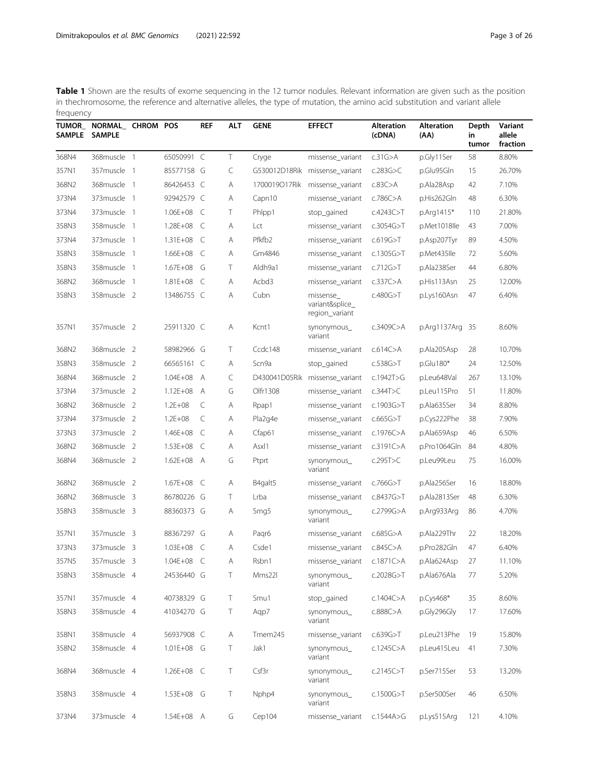<span id="page-2-0"></span>

| <b>TUMOR_</b><br><b>SAMPLE</b> | NORMAL_ CHROM POS<br><b>SAMPLE</b> |                | <b>REF</b>     | <b>ALT</b> | <b>GENE</b>        | <b>EFFECT</b>                                  | <b>Alteration</b><br>(cDNA) | <b>Alteration</b><br>(AA) | Depth<br>in<br>tumor | Variant<br>allele<br>fraction |
|--------------------------------|------------------------------------|----------------|----------------|------------|--------------------|------------------------------------------------|-----------------------------|---------------------------|----------------------|-------------------------------|
| 368N4                          | 368muscle 1                        | 65050991 C     |                | Τ          | Cryge              | missense_variant                               | c.31G>A                     | p.Gly11Ser                | 58                   | 8.80%                         |
| 357N1                          | 357muscle 1                        | 85577158 G     |                | C          | G530012D18Rik      | missense_variant                               | c.283G $>$ C                | p.Glu95Gln                | 15                   | 26.70%                        |
| 368N2                          | 368muscle 1                        | 86426453 C     |                | Α          | 1700019O17Rik      | missense_variant                               | c.83C>A                     | p.Ala28Asp                | 42                   | 7.10%                         |
| 373N4                          | 373muscle 1                        | 92942579 C     |                | Α          | Capn10             | missense_variant                               | c.786 $C$ >A                | p.His262Gln               | 48                   | 6.30%                         |
| 373N4                          | 373muscle 1                        | $1.06E + 08$   | C              | T          | Phlpp1             | stop_gained                                    | c.4243C > T                 | p.Arg1415*                | 110                  | 21.80%                        |
| 358N3                          | 358muscle 1                        | 1.28E+08       | C              | Α          | Lct                | missense_variant                               | c.3054G $>$ T               | p.Met1018lle              | 43                   | 7.00%                         |
| 373N4                          | 373muscle 1                        | 1.31E+08       | $\subset$      | Α          | Pfkfb <sub>2</sub> | missense_variant                               | c.619G>T                    | p.Asp207Tyr               | 89                   | 4.50%                         |
| 358N3                          | 358muscle 1                        | $1.66E + 08$   | C              | Α          | Gm4846             | missense variant                               | c.1305G $>$ T               | p.Met435lle               | 72                   | 5.60%                         |
| 358N3                          | 358muscle 1                        | $1.67E + 08$   | G              | Τ          | Aldh9a1            | missense_variant                               | c.712G>T                    | p.Ala238Ser               | 44                   | 6.80%                         |
| 368N2                          | 368muscle 1                        | $1.81E + 08$   | C              | Α          | Acbd3              | missense_variant                               | c.337C > A                  | p.His113Asn               | 25                   | 12.00%                        |
| 358N3                          | 358muscle 2                        | 13486755 C     |                | Α          | Cubn               | missense_<br>variant&splice_<br>region_variant | c.480G > T                  | p.Lys160Asn               | 47                   | 6.40%                         |
| 357N1                          | 357muscle 2                        | 25911320 C     |                | Α          | Kcnt1              | synonymous_<br>variant                         | c.3409C>A                   | p.Arg1137Arg              | - 35                 | 8.60%                         |
| 368N2                          | 368muscle 2                        | 58982966 G     |                | T          | Ccdc148            | missense_variant                               | c.614C>A                    | p.Ala205Asp               | 28                   | 10.70%                        |
| 358N3                          | 358muscle 2                        | 66565161 C     |                | Α          | Scn9a              | stop_gained                                    | c.538G > T                  | $p$ .Glu180*              | 24                   | 12.50%                        |
| 368N4                          | 368muscle 2                        | $1.04E + 08$   | $\overline{A}$ | C          | D430041D05Rik      | missense_variant                               | c.1942T>G                   | p.Leu648Val               | 267                  | 13.10%                        |
| 373N4                          | 373muscle 2                        | $1.12E + 08$   | A              | G          | Olfr1308           | missense_variant                               | c.344T > C                  | p.Leu115Pro               | 51                   | 11.80%                        |
| 368N2                          | 368muscle 2                        | $1.2E + 08$    | C              | Α          | Rpap1              | missense variant                               | c.1903G>T                   | p.Ala635Ser               | 34                   | 8.80%                         |
| 373N4                          | 373muscle 2                        | $1.2E + 08$    | C              | Α          | Pla2g4e            | missense_variant                               | c.665G > T                  | p.Cys222Phe               | 38                   | 7.90%                         |
| 373N3                          | 373muscle 2                        | 1.46E+08       | C              | Α          | Cfap61             | missense_variant                               | c.1976 $C$ >A               | p.Ala659Asp               | 46                   | 6.50%                         |
| 368N2                          | 368muscle 2                        | $1.53E + 08$   | C              | Α          | Asxl1              | missense_variant                               | c.3191C > A                 | p.Pro1064Gln              | 84                   | 4.80%                         |
| 368N4                          | 368muscle 2                        | $1.62E + 08$ A |                | G          | Ptprt              | synonymous_<br>variant                         | c.295T>C                    | p.Leu99Leu                | 75                   | 16.00%                        |
| 368N2                          | 368muscle 2                        | 1.67E+08       | C              | Α          | B4galt5            | missense_variant                               | c.766G $>$ T                | p.Ala256Ser               | 16                   | 18.80%                        |
| 368N2                          | 368muscle 3                        | 86780226 G     |                | T          | Lrba               | missense_variant                               | c.8437G > T                 | p.Ala2813Ser              | 48                   | 6.30%                         |
| 358N3                          | 358muscle 3                        | 88360373 G     |                | Α          | Smg5               | synonymous_<br>variant                         | c.2799G>A                   | p.Arg933Arg               | 86                   | 4.70%                         |
| 357N1                          | 357muscle 3                        | 88367297       | G              | Α          | Pagr6              | missense_variant                               | $c.685G$ >A                 | p.Ala229Thr               | 22                   | 18.20%                        |
| 373N3                          | 373muscle 3                        | $1.03E + 08$   | C              | Α          | Csde1              | missense_variant                               | c.845C>A                    | p.Pro282Gln               | 47                   | 6.40%                         |
| 357N5                          | 357muscle 3                        | $1.04F + 08$ C |                | Α          | Rsbn 1             | missense_variant c.1871C>A                     |                             | p.Ala624Asp               | 27                   | 11.10%                        |
| 358N3                          | 358muscle 4                        | 24536440 G     |                | Τ          | Mms22l             | synonymous_<br>variant                         | c.2028G $>$ T               | p.Ala676Ala               | 77                   | 5.20%                         |
| 357N1                          | 357muscle 4                        | 40738329 G     |                | T          | Smu1               | stop_gained                                    | c.1404C>A                   | p.Cys468*                 | 35                   | 8.60%                         |
| 358N3                          | 358muscle 4                        | 41034270 G     |                | Τ          | Aqp7               | synonymous_<br>variant                         | $c.888C$ >A                 | p.Gly296Gly               | 17                   | 17.60%                        |
| 358N1                          | 358muscle 4                        | 56937908 C     |                | Α          | Tmem245            | missense_variant                               | c.639G > T                  | p.Leu213Phe               | 19                   | 15.80%                        |
| 358N2                          | 358muscle 4                        | 1.01E+08 G     |                | T          | Jak1               | synonymous_<br>variant                         | c.1245C>A                   | p.Leu415Leu               | 41                   | 7.30%                         |
| 368N4                          | 368muscle 4                        | 1.26E+08 C     |                | Τ          | Csf3r              | synonymous<br>variant                          | c.2145C > T                 | p.Ser715Ser               | 53                   | 13.20%                        |
| 358N3                          | 358muscle 4                        | 1.53E+08 G     |                | Τ          | Nphp4              | synonymous_<br>variant                         | c.1500G > T                 | p.Ser500Ser               | 46                   | 6.50%                         |
| 373N4                          | 373muscle 4                        | 1.54E+08 A     |                | G          | Cep104             | missense_variant                               | c.1544A $>$ G               | p.Lys515Arg               | 121                  | 4.10%                         |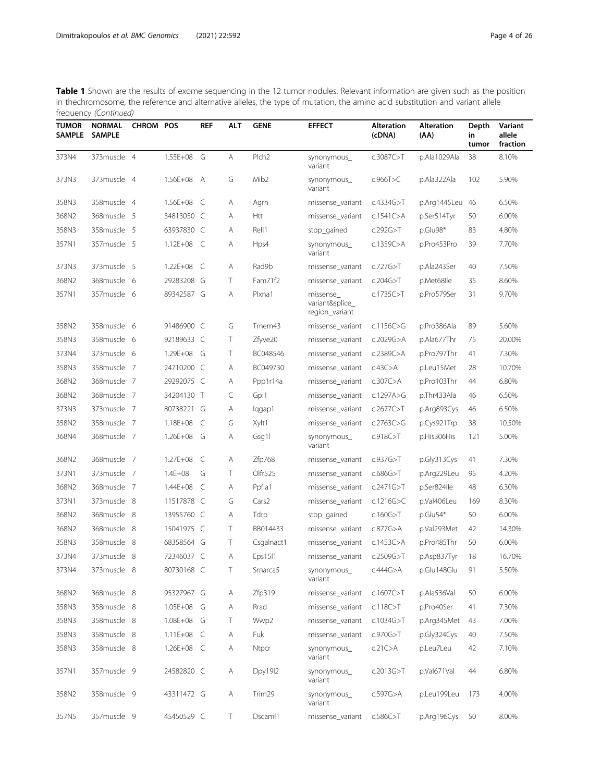| <b>TUMOR_</b><br><b>SAMPLE</b> | NORMAL_ CHROM POS<br><b>SAMPLE</b> |                | <b>REF</b> | <b>ALT</b> | <b>GENE</b>         | <b>EFFECT</b>                                  | <b>Alteration</b><br>(cDNA) | <b>Alteration</b><br>(AA) | Depth<br>in<br>tumor | Variant<br>allele<br>fraction |
|--------------------------------|------------------------------------|----------------|------------|------------|---------------------|------------------------------------------------|-----------------------------|---------------------------|----------------------|-------------------------------|
| 373N4                          | 373muscle 4                        | 1.55E+08       | G          | Α          | Plch <sub>2</sub>   | synonymous_<br>variant                         | c.3087C > T                 | p.Ala1029Ala              | 38                   | 8.10%                         |
| 373N3                          | 373muscle 4                        | 1.56E+08 A     |            | G          | Mib <sub>2</sub>    | synonymous_<br>variant                         | c.966T>C                    | p.Ala322Ala               | 102                  | 5.90%                         |
| 358N3                          | 358muscle 4                        | 1.56E+08       | C          | Α          | Agrn                | missense_variant                               | c.4334G > T                 | p.Arg1445Leu              | 46                   | 6.50%                         |
| 368N2                          | 368muscle 5                        | 34813050 C     |            | Α          | Htt                 | missense_variant                               | c.1541 $C$ >A               | p.Ser514Tyr               | 50                   | 6.00%                         |
| 358N3                          | 358muscle 5                        | 63937830 C     |            | Α          | Rell1               | stop_gained                                    | c.292G > T                  | p.Glu98*                  | 83                   | 4.80%                         |
| 357N1                          | 357muscle 5                        | $1.12E + 08$   | C          | Α          | Hps4                | synonymous_<br>variant                         | c.1359 $C$ >A               | p.Pro453Pro               | 39                   | 7.70%                         |
| 373N3                          | 373muscle 5                        | $1.22E + 08$   | C          | A          | Rad9b               | missense_variant                               | c.727G>T                    | p.Ala243Ser               | 40                   | 7.50%                         |
| 368N2                          | 368muscle 6                        | 29283208 G     |            | T          | Fam71f2             | missense_variant                               | c.204G > T                  | p.Met68lle                | 35                   | 8.60%                         |
| 357N1                          | 357muscle 6                        | 89342587 G     |            | Α          | Plxna1              | missense_<br>variant&splice_<br>region_variant | c.1735 $C>$ T               | p.Pro579Ser               | 31                   | 9.70%                         |
| 358N2                          | 358muscle 6                        | 91486900 C     |            | G          | Tmem43              | missense_variant                               | c.1156 $C > G$              | p.Pro386Ala               | 89                   | 5.60%                         |
| 358N3                          | 358muscle 6                        | 92189633 C     |            | T          | Zfyve20             | missense_variant                               | c.2029G>A                   | p.Ala677Thr               | 75                   | 20.00%                        |
| 373N4                          | 373muscle 6                        | 1.29E+08       | G          | T          | BC048546            | missense variant                               | c.2389C > A                 | p.Pro797Thr               | 41                   | 7.30%                         |
| 358N3                          | 358muscle 7                        | 24710200       | C          | Α          | BC049730            | missense_variant                               | c.43C>A                     | p.Leu15Met                | 28                   | 10.70%                        |
| 368N2                          | 368muscle 7                        | 29292075 C     |            | Α          | Ppp1r14a            | missense_variant                               | c.307C>A                    | p.Pro103Thr               | 44                   | 6.80%                         |
| 368N2                          | 368muscle 7                        | 34204130 T     |            | C          | Gpi1                | missense_variant                               | c.1297A>G                   | p.Thr433Ala               | 46                   | 6.50%                         |
| 373N3                          | 373muscle 7                        | 80738221 G     |            | Α          | lqgap1              | missense_variant                               | c.2677C > T                 | p.Arg893Cys               | 46                   | 6.50%                         |
| 358N2                          | 358muscle 7                        | $1.18E + 08$   | C          | G          | Xylt1               | missense_variant                               | c.2763C $>$ G               | p.Cys921Trp               | 38                   | 10.50%                        |
| 368N4                          | 368muscle 7                        | 1.26E+08       | G          | Α          | Gsg1l               | synonymous_<br>variant                         | c.918C > T                  | p.His306His               | 121                  | 5.00%                         |
| 368N2                          | 368muscle 7                        | $1.27E + 08$   | $\subset$  | Α          | Zfp768              | missense_variant                               | c.937G > T                  | p.Gly313Cys               | 41                   | 7.30%                         |
| 373N1                          | 373muscle 7                        | $1.4E + 08$    | G          | T          | Olfr <sub>525</sub> | missense_variant                               | c.686G > T                  | p.Arg229Leu               | 95                   | 4.20%                         |
| 368N2                          | 368muscle 7                        | $1.44E + 08$   | C          | Α          | Ppfia1              | missense_variant                               | c.2471G > T                 | p.Ser824lle               | 48                   | 6.30%                         |
| 373N1                          | 373muscle 8                        | 11517878 C     |            | G          | Cars2               | missense_variant                               | c.1216G $>$ C               | p.Val406Leu               | 169                  | 8.30%                         |
| 368N2                          | 368muscle 8                        | 13955760 C     |            | Α          | Tdrp                | stop_gained                                    | c.160 $G > T$               | $p.Glu54*$                | 50                   | 6.00%                         |
| 368N2                          | 368muscle 8                        | 15041975 C     |            | T          | BB014433            | missense_variant                               | c.877G > A                  | p.Val293Met               | 42                   | 14.30%                        |
| 358N3                          | 358muscle 8                        | 68358564 G     |            | Τ          | Csgalnact1          | missense_variant                               | c.1453C>A                   | p.Pro485Thr               | 50                   | 6.00%                         |
| 373N4                          | 373muscle 8                        | 72346037 C     |            | Α          | Eps1511             | missense_variant                               | c.2509G>T                   | p.Asp837Tyr               | 18                   | 16.70%                        |
| 373N4                          | 373muscle 8                        | 80730168 C     |            | Τ          | Smarca5             | synonymous_<br>variant                         | c.444G > A                  | p.Glu148Glu               | 91                   | 5.50%                         |
| 368N2                          | 368muscle 8                        | 95327967 G     |            | Α          | Zfp319              | missense_variant                               | c.1607 $C>$ T               | p.Ala536Val               | 50                   | 6.00%                         |
| 358N3                          | 358muscle 8                        | 1.05E+08 G     |            | Α          | Rrad                | missense_variant                               | c.118C > T                  | p.Pro40Ser                | 41                   | 7.30%                         |
| 358N3                          | 358muscle 8                        | 1.08E+08 G     |            | Τ          | Wwp2                | missense_variant                               | c.1034G > T                 | p.Arg345Met               | 43                   | 7.00%                         |
| 358N3                          | 358muscle 8                        | 1.11E+08 C     |            | Α          | Fuk                 | missense_variant                               | c.970G $>$ T                | p.Gly324Cys               | 40                   | 7.50%                         |
| 358N3                          | 358muscle 8                        | $1.26E + 08$ C |            | Α          | Ntpcr               | synonymous_<br>variant                         | c.21C>A                     | p.Leu7Leu                 | 42                   | 7.10%                         |
| 357N1                          | 357muscle 9                        | 24582820 C     |            | Α          | Dpy19l2             | synonymous_<br>variant                         | c.2013G > T                 | p.Val671Val               | 44                   | 6.80%                         |
| 358N2                          | 358muscle 9                        | 43311472 G     |            | Α          | Trim29              | synonymous_<br>variant                         | c.597G>A                    | p.Leu199Leu               | 173                  | 4.00%                         |
| 357N5                          | 357muscle 9                        | 45450529 C     |            | T.         | Dscam <sub>1</sub>  | missense_variant                               | $c.586C>$ T                 | p.Arg196Cys               | 50                   | 8.00%                         |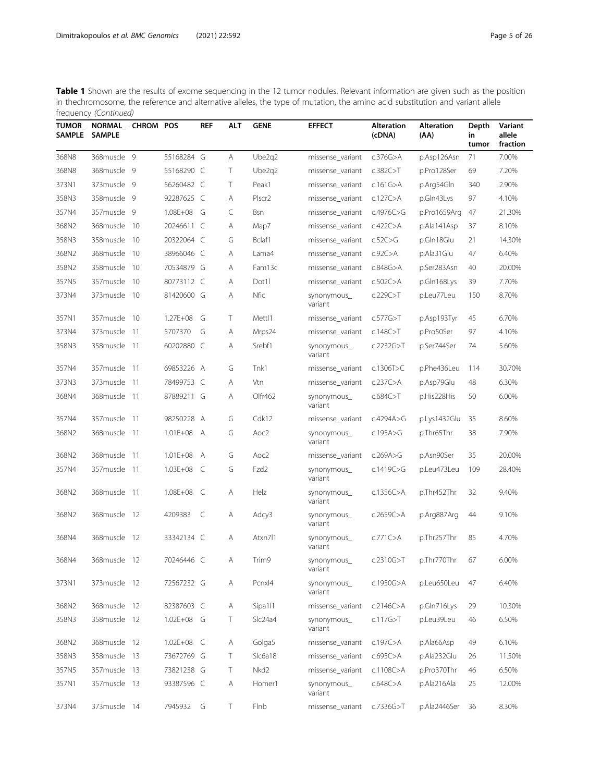| <b>TUMOR_</b><br><b>SAMPLE</b> | NORMAL_ CHROM POS<br><b>SAMPLE</b> |       |                | <b>REF</b> | <b>ALT</b> | <b>GENE</b>        | <b>EFFECT</b>          | <b>Alteration</b><br>(cDNA) | <b>Alteration</b><br>(AA) | Depth<br>in<br>tumor | Variant<br>allele<br>fraction |
|--------------------------------|------------------------------------|-------|----------------|------------|------------|--------------------|------------------------|-----------------------------|---------------------------|----------------------|-------------------------------|
| 368N8                          | 368muscle 9                        |       | 55168284 G     |            | Α          | Ube2q2             | missense_variant       | c.376G $>$ A                | p.Asp126Asn               | 71                   | 7.00%                         |
| 368N8                          | 368muscle 9                        |       | 55168290 C     |            | Т          | Ube2g2             | missense_variant       | c.382C > T                  | p.Pro128Ser               | 69                   | 7.20%                         |
| 373N1                          | 373muscle 9                        |       | 56260482 C     |            | T          | Peak1              | missense_variant       | c.161 $G$ >A                | p.Arg54Gln                | 340                  | 2.90%                         |
| 358N3                          | 358muscle 9                        |       | 92287625 C     |            | Α          | Plscr <sub>2</sub> | missense_variant       | c.127C>A                    | p.Gln43Lys                | 97                   | 4.10%                         |
| 357N4                          | 357muscle 9                        |       | $1.08E + 08$   | G          | C          | Bsn                | missense_variant       | c.4976C>G                   | p.Pro1659Arg              | 47                   | 21.30%                        |
| 368N2                          | 368muscle                          | - 10  | 20246611       | C          | Α          | Map7               | missense_variant       | c.422C>A                    | p.Ala141Asp               | 37                   | 8.10%                         |
| 358N3                          | 358muscle                          | - 10  | 20322064 C     |            | G          | Bclaf1             | missense_variant       | c.52C > G                   | p.Gln18Glu                | 21                   | 14.30%                        |
| 368N2                          | 368muscle                          | -10   | 38966046 C     |            | Α          | Lama4              | missense_variant       | $c.92C$ >A                  | p.Ala31Glu                | 47                   | 6.40%                         |
| 358N2                          | 358muscle                          | -10   | 70534879 G     |            | Α          | Fam13c             | missense_variant       | $c.848G$ >A                 | p.Ser283Asn               | 40                   | 20.00%                        |
| 357N5                          | 357muscle                          | - 10  | 80773112 C     |            | Α          | Dot1l              | missense_variant       | $c.502C$ >A                 | p.Gln168Lys               | 39                   | 7.70%                         |
| 373N4                          | 373muscle                          | -10   | 81420600 G     |            | Α          | Nfic               | synonymous_<br>variant | c.229C > T                  | p.Leu77Leu                | 150                  | 8.70%                         |
| 357N1                          | 357muscle 10                       |       | $1.27E + 08$   | G          | T          | Mettl1             | missense_variant       | c.577G > T                  | p.Asp193Tyr               | 45                   | 6.70%                         |
| 373N4                          | 373muscle                          | -11   | 5707370        | G          | Α          | Mrps24             | missense_variant       | c.148C > T                  | p.Pro50Ser                | 97                   | 4.10%                         |
| 358N3                          | 358muscle                          | - 11  | 60202880 C     |            | Α          | Srebf1             | synonymous_<br>variant | c.2232G > T                 | p.Ser744Ser               | 74                   | 5.60%                         |
| 357N4                          | 357muscle                          | -11   | 69853226 A     |            | G          | Tnk1               | missense_variant       | c.1306 $T>C$                | p.Phe436Leu               | 114                  | 30.70%                        |
| 373N3                          | 373 muscle                         | - 11  | 78499753 C     |            | Α          | Vtn                | missense_variant       | c.237C > A                  | p.Asp79Glu                | 48                   | 6.30%                         |
| 368N4                          | 368muscle 11                       |       | 87889211 G     |            | Α          | Olfr462            | synonymous_<br>variant | c.684C > T                  | p.His228His               | 50                   | 6.00%                         |
| 357N4                          | 357muscle                          | -11   | 98250228 A     |            | G          | Cdk12              | missense_variant       | c.4294A $>$ G               | p.Lys1432Glu              | 35                   | 8.60%                         |
| 368N2                          | 368muscle 11                       |       | 1.01E+08       | A          | G          | Aoc2               | synonymous_<br>variant | c.195A $>$ G                | p.Thr65Thr                | 38                   | 7.90%                         |
| 368N2                          | 368muscle                          | -11   | $1.01E + 08$   | A          | G          | Aoc <sub>2</sub>   | missense_variant       | c.269A>G                    | p.Asn90Ser                | 35                   | 20.00%                        |
| 357N4                          | 357muscle                          | $-11$ | 1.03E+08       | C          | G          | Fzd <sub>2</sub>   | synonymous_<br>variant | c.1419 $C > G$              | p.Leu473Leu               | 109                  | 28.40%                        |
| 368N2                          | 368muscle                          | - 11  | $1.08E + 08$   | C          | Α          | Helz               | synonymous_<br>variant | c.1356 $C$ >A               | p.Thr452Thr               | 32                   | 9.40%                         |
| 368N2                          | 368muscle 12                       |       | 4209383        | C          | Α          | Adcy3              | synonymous_<br>variant | c.2659 $C$ >A               | p.Arg887Arg               | 44                   | 9.10%                         |
| 368N4                          | 368muscle 12                       |       | 33342134 C     |            | Α          | Atxn711            | synonymous_<br>variant | c.771C>A                    | p.Thr257Thr               | 85                   | 4.70%                         |
| 368N4                          | 368muscle 12                       |       | 70246446 C     |            | Α          | Trim9              | synonymous<br>variant  | c.2310G > T                 | p.Thr770Thr               | 67                   | 6.00%                         |
| 373N1                          | 373muscle 12                       |       | 72567232 G     |            | Α          | Pcnxl4             | synonymous_<br>variant | c.1950G>A                   | p.Leu650Leu               | 47                   | 6.40%                         |
| 368N2                          | 368muscle 12                       |       | 82387603 C     |            | Α          | Sipa111            | missense_variant       | c.2146C > A                 | p.Gln716Lys               | 29                   | 10.30%                        |
| 358N3                          | 358muscle 12                       |       | 1.02E+08 G     |            | Τ          | SIc24a4            | synonymous_<br>variant | c.117G $>$ T                | p.Leu39Leu                | 46                   | 6.50%                         |
| 368N2                          | 368muscle 12                       |       | $1.02E + 08$ C |            | Α          | Golga5             | missense_variant       | c.197 $C > A$               | p.Ala66Asp                | 49                   | 6.10%                         |
| 358N3                          | 358muscle 13                       |       | 73672769 G     |            | Τ          | Slc6a18            | missense_variant       | $c.695C$ >A                 | p.Ala232Glu               | 26                   | 11.50%                        |
| 357N5                          | 357muscle 13                       |       | 73821238 G     |            | Τ          | Nkd <sub>2</sub>   | missense_variant       | c.1108C $>$ A               | p.Pro370Thr               | 46                   | 6.50%                         |
| 357N1                          | 357muscle 13                       |       | 93387596 C     |            | Α          | Homer1             | synonymous_<br>variant | c.648C > A                  | p.Ala216Ala               | 25                   | 12.00%                        |
| 373N4                          | 373muscle 14                       |       | 7945932        | G          | Τ          | Flnb               | missense_variant       | c.7336G>T                   | p.Ala2446Ser              | 36                   | 8.30%                         |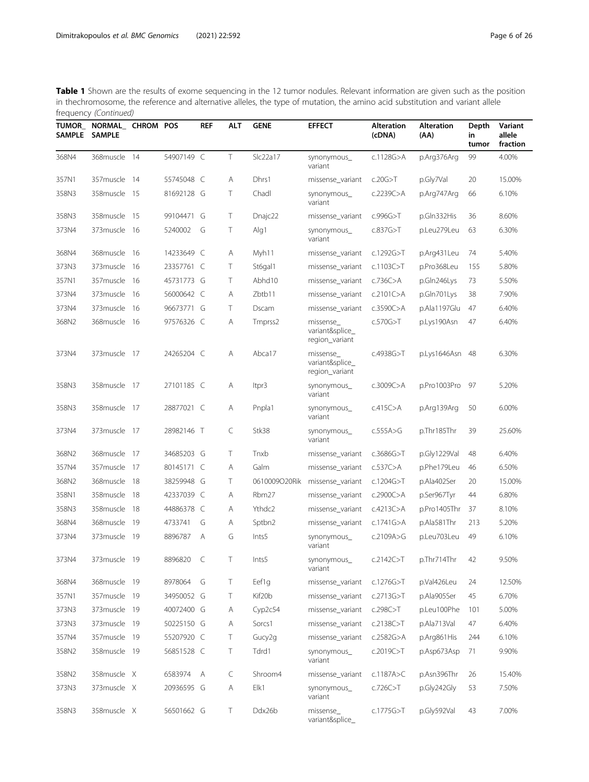| <b>TUMOR_</b><br><b>SAMPLE</b> | NORMAL_ CHROM POS<br><b>SAMPLE</b> |      |            | <b>REF</b> | ALT       | <b>GENE</b>         | <b>EFFECT</b>                                  | <b>Alteration</b><br>(cDNA) | <b>Alteration</b><br>(AA) | Depth<br>in<br>tumor | Variant<br>allele<br>fraction |
|--------------------------------|------------------------------------|------|------------|------------|-----------|---------------------|------------------------------------------------|-----------------------------|---------------------------|----------------------|-------------------------------|
| 368N4                          | 368muscle 14                       |      | 54907149 C |            | $\top$    | Slc22a17            | synonymous_<br>variant                         | c.1128G>A                   | p.Arg376Arg               | 99                   | 4.00%                         |
| 357N1                          | 357muscle                          | - 14 | 55745048 C |            | Α         | Dhrs1               | missense_variant                               | c.20G > T                   | p.Gly7Val                 | 20                   | 15.00%                        |
| 358N3                          | 358muscle                          | - 15 | 81692128 G |            | T         | Chadl               | synonymous_<br>variant                         | c.2239C > A                 | p.Arg747Arg               | 66                   | 6.10%                         |
| 358N3                          | 358muscle                          | 15   | 99104471   | G          | Т         | Dnajc22             | missense_variant                               | c.996G $>$ T                | p.Gln332His               | 36                   | 8.60%                         |
| 373N4                          | 373 muscle 16                      |      | 5240002    | G          | Τ         | Alg1                | synonymous_<br>variant                         | c.837G>T                    | p.Leu279Leu               | 63                   | 6.30%                         |
| 368N4                          | 368muscle                          | 16   | 14233649 C |            | Α         | Myh11               | missense variant                               | c.1292G>T                   | p.Arg431Leu               | 74                   | 5.40%                         |
| 373N3                          | 373muscle                          | -16  | 23357761 C |            | Т         | St6gal1             | missense_variant                               | c.1103C > T                 | p.Pro368Leu               | 155                  | 5.80%                         |
| 357N1                          | 357muscle                          | - 16 | 45731773 G |            | T         | Abhd10              | missense_variant                               | $c.736C$ >A                 | p.Gln246Lys               | 73                   | 5.50%                         |
| 373N4                          | 373muscle                          | -16  | 56000642 C |            | Α         | Zbtb11              | missense_variant                               | c.2101C > A                 | p.Gln701Lys               | 38                   | 7.90%                         |
| 373N4                          | 373muscle                          | -16  | 96673771   | G          | Т         | Dscam               | missense_variant                               | $c.3590C$ >A                | p.Ala1197Glu              | 47                   | 6.40%                         |
| 368N2                          | 368muscle                          | - 16 | 97576326 C |            | Α         | Tmprss <sub>2</sub> | missense_<br>variant&splice<br>region_variant  | c.570G > T                  | p.Lys190Asn               | 47                   | 6.40%                         |
| 373N4                          | 373muscle 17                       |      | 24265204 C |            | Α         | Abca17              | missense_<br>variant&splice_<br>region_variant | c.4938G $>$ T               | p.Lys1646Asn              | -48                  | 6.30%                         |
| 358N3                          | 358muscle 17                       |      | 27101185 C |            | Α         | ltpr3               | synonymous_<br>variant                         | c.3009 $C$ >A               | p.Pro1003Pro              | 97                   | 5.20%                         |
| 358N3                          | 358muscle                          | -17  | 28877021 C |            | Α         | Pnpla1              | synonymous_<br>variant                         | c.415 $C$ >A                | p.Arg139Arg               | 50                   | 6.00%                         |
| 373N4                          | 373muscle 17                       |      | 28982146 T |            | C         | Stk38               | synonymous_<br>variant                         | c.555A > G                  | p.Thr185Thr               | 39                   | 25.60%                        |
| 368N2                          | 368muscle                          | -17  | 34685203 G |            | Τ         | Tnxb                | missense_variant                               | c.3686G $>$ T               | p.Gly1229Val              | 48                   | 6.40%                         |
| 357N4                          | 357muscle                          | -17  | 80145171 C |            | Α         | Galm                | missense_variant                               | $c.537C$ >A                 | p.Phe179Leu               | 46                   | 6.50%                         |
| 368N2                          | 368muscle 18                       |      | 38259948 G |            | T         | 0610009O20Rik       | missense_variant                               | c.1204G $>$ T               | p.Ala402Ser               | 20                   | 15.00%                        |
| 358N1                          | 358muscle                          | -18  | 42337039 C |            | Α         | Rbm27               | missense_variant                               | c.2900C $>$ A               | p.Ser967Tyr               | 44                   | 6.80%                         |
| 358N3                          | 358muscle                          | -18  | 44886378 C |            | Α         | Ythdc2              | missense_variant                               | c.4213C>A                   | p.Pro1405Thr              | 37                   | 8.10%                         |
| 368N4                          | 368muscle                          | - 19 | 4733741    | G          | Α         | Sptbn2              | missense variant                               | c.1741G>A                   | p.Ala581Thr               | 213                  | 5.20%                         |
| 373N4                          | 373muscle                          | - 19 | 8896787    | A          | G         | Ints5               | synonymous_<br>variant                         | c.2109A>G                   | p.Leu703Leu               | 49                   | 6.10%                         |
| 373N4                          | 373muscle 19                       |      | 8896820    | C          | Τ         | Ints5               | synonymous.<br>variant                         | c.2142C > T                 | p.Thr714Thr               | 42                   | 9.50%                         |
| 368N4                          | 368muscle 19                       |      | 8978064    | G          | Τ         | Eef1g               | missense_variant                               | c.1276G $>$ T               | p.Val426Leu               | 24                   | 12.50%                        |
| 357N1                          | 357muscle 19                       |      | 34950052 G |            | Τ         | Kif20b              | missense_variant                               | c.2713G > T                 | p.Ala905Ser               | 45                   | 6.70%                         |
| 373N3                          | 373muscle 19                       |      | 40072400 G |            | Α         | Cyp2c54             | missense_variant                               | c.298C>T                    | p.Leu100Phe               | 101                  | 5.00%                         |
| 373N3                          | 373muscle 19                       |      | 50225150 G |            | Α         | Sorcs1              | missense_variant                               | c.2138C > T                 | p.Ala713Val               | 47                   | 6.40%                         |
| 357N4                          | 357muscle 19                       |      | 55207920 C |            | Τ         | Gucy2g              | missense variant                               | c.2582G>A                   | p.Arg861His               | 244                  | 6.10%                         |
| 358N2                          | 358muscle 19                       |      | 56851528 C |            | $\top$    | Tdrd1               | synonymous_<br>variant                         | c.2019C>T                   | p.Asp673Asp               | 71                   | 9.90%                         |
| 358N2                          | 358muscle X                        |      | 6583974    | Α          | $\subset$ | Shroom4             | missense variant                               | c.1187A $>$ C               | p.Asn396Thr               | 26                   | 15.40%                        |
| 373N3                          | 373muscle X                        |      | 20936595 G |            | Α         | Elk1                | synonymous_<br>variant                         | c.726C > T                  | p.Gly242Gly               | 53                   | 7.50%                         |
| 358N3                          | 358muscle X                        |      | 56501662 G |            | Τ         | Ddx26b              | missense<br>variant&splice_                    | c.1775G>T                   | p.Gly592Val               | 43                   | 7.00%                         |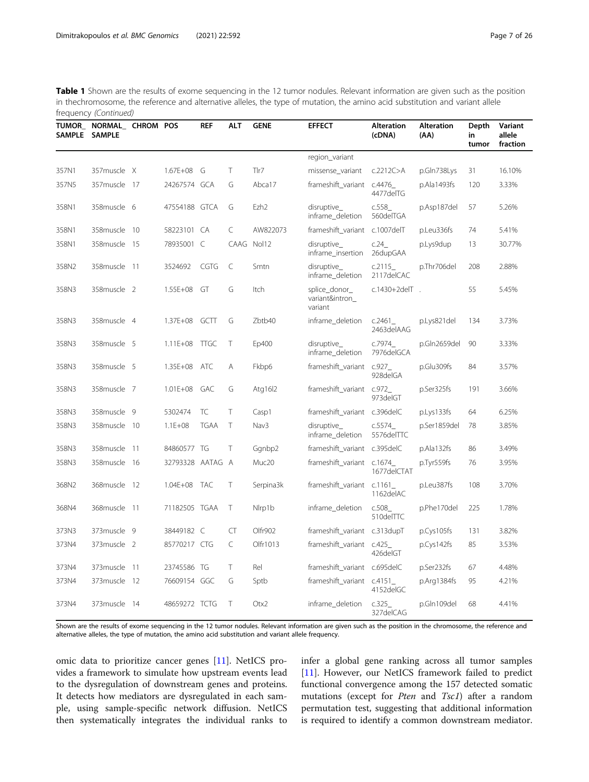|       | TUMOR_ NORMAL_ CHROM POS<br>SAMPLE SAMPLE |                  | <b>REF</b>  | ALT        | <b>GENE</b>      | <b>EFFECT</b>                               | <b>Alteration</b><br>(cDNA) | <b>Alteration</b><br>(AA) | Depth<br>in<br>tumor | Variant<br>allele<br>fraction |
|-------|-------------------------------------------|------------------|-------------|------------|------------------|---------------------------------------------|-----------------------------|---------------------------|----------------------|-------------------------------|
|       |                                           |                  |             |            |                  | region_variant                              |                             |                           |                      |                               |
| 357N1 | 357muscle X                               | 1.67E+08 G       |             | T          | Tlr7             | missense_variant                            | c.2212C > A                 | p.Gln738Lys               | 31                   | 16.10%                        |
| 357N5 | 357muscle 17                              | 24267574 GCA     |             | G          | Abca17           | frameshift_variant                          | c.4476<br>4477delTG         | p.Ala1493fs               | 120                  | 3.33%                         |
| 358N1 | 358muscle 6                               | 47554188 GTCA    |             | G          | Ezh <sub>2</sub> | disruptive_<br>inframe_deletion             | c.558<br>560delTGA          | p.Asp187del               | 57                   | 5.26%                         |
| 358N1 | 358muscle 10                              | 58223101 CA      |             | C          | AW822073         | frameshift_variant c.1007delT               |                             | p.Leu336fs                | 74                   | 5.41%                         |
| 358N1 | 358muscle 15                              | 78935001 C       |             | CAAG Nol12 |                  | disruptive_<br>inframe_insertion            | c.24<br>26dupGAA            | p.Lys9dup                 | 13                   | 30.77%                        |
| 358N2 | 358muscle 11                              | 3524692          | <b>CGTG</b> | C          | Smtn             | disruptive<br>inframe_deletion              | c.2115<br>2117delCAC        | p.Thr706del               | 208                  | 2.88%                         |
| 358N3 | 358muscle 2                               | 1.55E+08         | GT          | G          | Itch             | splice_donor_<br>variant&intron_<br>variant | c.1430+2delT.               |                           | 55                   | 5.45%                         |
| 358N3 | 358muscle 4                               | 1.37E+08 GCTT    |             | G          | Zbtb40           | inframe_deletion                            | c.2461<br>2463 del AAG      | p.Lys821del               | 134                  | 3.73%                         |
| 358N3 | 358muscle 5                               | $1.11E + 08$     | <b>TTGC</b> | T          | Ep400            | disruptive<br>inframe_deletion              | c.7974<br>7976delGCA        | p.Gln2659del              | 90                   | 3.33%                         |
| 358N3 | 358muscle 5                               | 1.35E+08 ATC     |             | Α          | Fkbp6            | frameshift_variant c.927_                   | 928delGA                    | p.Glu309fs                | 84                   | 3.57%                         |
| 358N3 | 358muscle 7                               | $1.01E + 08$     | GAC         | G          | Atg $1612$       | frameshift_variant                          | C.972<br>973delGT           | p.Ser325fs                | 191                  | 3.66%                         |
| 358N3 | 358muscle 9                               | 5302474          | TC          | $\top$     | Casp1            | frameshift_variant c.396delC                |                             | p.Lys133fs                | 64                   | 6.25%                         |
| 358N3 | 358muscle 10                              | $1.1E + 08$      | <b>TGAA</b> | $\top$     | Nav3             | disruptive<br>inframe_deletion              | c.5574<br>5576delTTC        | p.Ser1859del              | 78                   | 3.85%                         |
| 358N3 | 358muscle 11                              | 84860577 TG      |             | T          | Ggnbp2           | frameshift_variant c.395delC                |                             | p.Ala132fs                | 86                   | 3.49%                         |
| 358N3 | 358muscle 16                              | 32793328 AATAG A |             |            | Muc20            | frameshift_variant c.1674_                  | 1677delCTAT                 | p.Tyr559fs                | 76                   | 3.95%                         |
| 368N2 | 368muscle 12                              | 1.04E+08 TAC     |             | T          | Serpina3k        | frameshift_variant c.1161_                  | 1162delAC                   | p.Leu387fs                | 108                  | 3.70%                         |
| 368N4 | 368muscle 11                              | 71182505 TGAA    |             | T          | Nlrp1b           | inframe_deletion                            | c.508<br>510delTTC          | p.Phe170del               | 225                  | 1.78%                         |
| 373N3 | 373muscle 9                               | 38449182 C       |             | <b>CT</b>  | Olfr902          | frameshift variant                          | $c.313$ dup $T$             | p.Cys105fs                | 131                  | 3.82%                         |
| 373N4 | 373muscle 2                               | 85770217 CTG     |             | C          | Olfr1013         | frameshift_variant c.425_                   | 426delGT                    | p.Cys142fs                | 85                   | 3.53%                         |
| 373N4 | 373muscle 11                              | 23745586 TG      |             | $\top$     | Rel              | frameshift_variant c.695delC                |                             | p.Ser232fs                | 67                   | 4.48%                         |
| 373N4 | 373muscle 12                              | 76609154 GGC     |             | G          | Sptb             | frameshift_variant c.4151_                  | 4152delGC                   | p.Arg1384fs               | 95                   | 4.21%                         |
| 373N4 | 373muscle 14                              | 48659272 TCTG    |             | $\top$     | Otx2             | inframe_deletion                            | c.325<br>327delCAG          | p.Gln109del               | 68                   | 4.41%                         |

Shown are the results of exome sequencing in the 12 tumor nodules. Relevant information are given such as the position in the chromosome, the reference and alternative alleles, the type of mutation, the amino acid substitution and variant allele frequency.

omic data to prioritize cancer genes [[11\]](#page-25-0). NetICS provides a framework to simulate how upstream events lead to the dysregulation of downstream genes and proteins. It detects how mediators are dysregulated in each sample, using sample-specific network diffusion. NetICS then systematically integrates the individual ranks to infer a global gene ranking across all tumor samples [[11\]](#page-25-0). However, our NetICS framework failed to predict functional convergence among the 157 detected somatic mutations (except for Pten and Tsc1) after a random permutation test, suggesting that additional information is required to identify a common downstream mediator.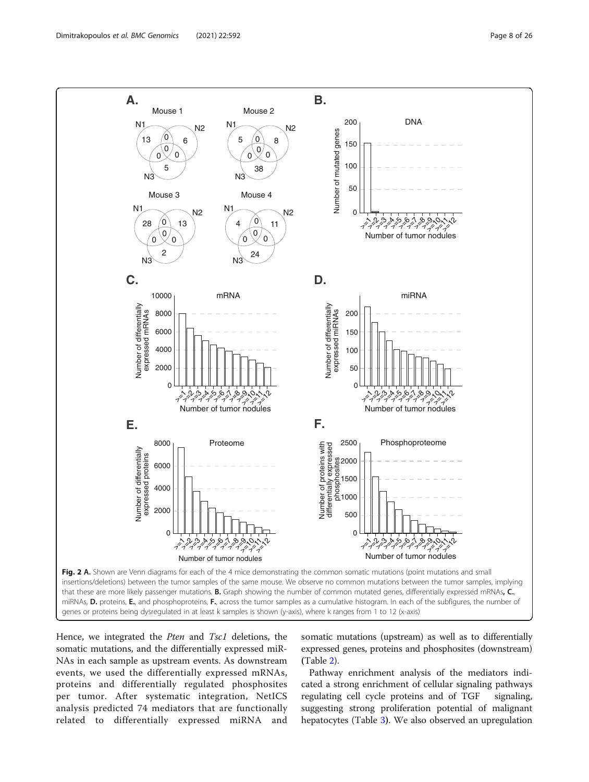<span id="page-7-0"></span>

genes or proteins being dysregulated in at least k samples is shown (y-axis), where k ranges from 1 to 12 (x-axis)

Hence, we integrated the *Pten* and *Tsc1* deletions, the somatic mutations, and the differentially expressed miR-NAs in each sample as upstream events. As downstream events, we used the differentially expressed mRNAs, proteins and differentially regulated phosphosites per tumor. After systematic integration, NetICS analysis predicted 74 mediators that are functionally related to differentially expressed miRNA and

somatic mutations (upstream) as well as to differentially expressed genes, proteins and phosphosites (downstream) (Table [2\)](#page-9-0).

Pathway enrichment analysis of the mediators indicated a strong enrichment of cellular signaling pathways regulating cell cycle proteins and of TGF signaling, suggesting strong proliferation potential of malignant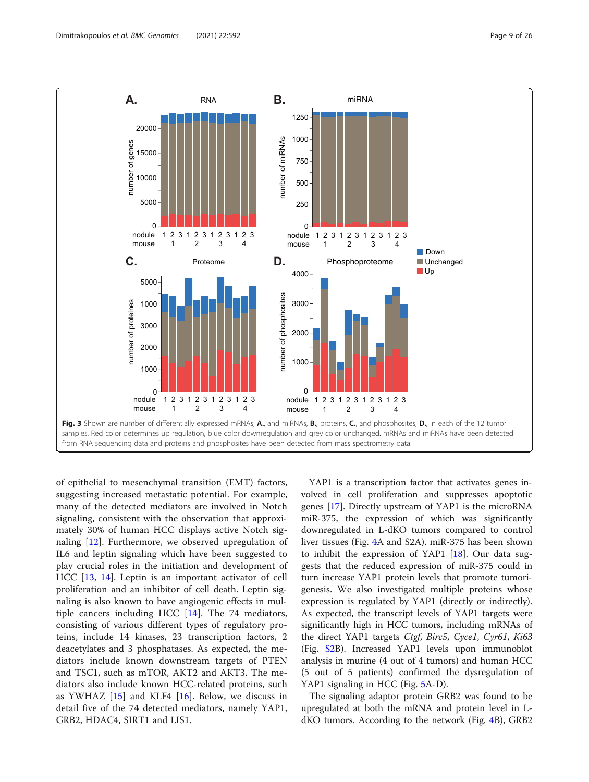<span id="page-8-0"></span>

of epithelial to mesenchymal transition (EMT) factors, suggesting increased metastatic potential. For example, many of the detected mediators are involved in Notch signaling, consistent with the observation that approximately 30% of human HCC displays active Notch signaling [[12\]](#page-25-0). Furthermore, we observed upregulation of IL6 and leptin signaling which have been suggested to play crucial roles in the initiation and development of HCC [\[13](#page-25-0), [14\]](#page-25-0). Leptin is an important activator of cell proliferation and an inhibitor of cell death. Leptin signaling is also known to have angiogenic effects in multiple cancers including HCC [[14\]](#page-25-0). The 74 mediators, consisting of various different types of regulatory proteins, include 14 kinases, 23 transcription factors, 2 deacetylates and 3 phosphatases. As expected, the mediators include known downstream targets of PTEN and TSC1, such as mTOR, AKT2 and AKT3. The mediators also include known HCC-related proteins, such as YWHAZ [[15](#page-25-0)] and KLF4 [\[16](#page-25-0)]. Below, we discuss in detail five of the 74 detected mediators, namely YAP1, GRB2, HDAC4, SIRT1 and LIS1.

YAP1 is a transcription factor that activates genes involved in cell proliferation and suppresses apoptotic genes [\[17\]](#page-25-0). Directly upstream of YAP1 is the microRNA miR-375, the expression of which was significantly downregulated in L-dKO tumors compared to control liver tissues (Fig. [4](#page-18-0)A and S2A). miR-375 has been shown to inhibit the expression of YAP1 [\[18](#page-25-0)]. Our data suggests that the reduced expression of miR-375 could in turn increase YAP1 protein levels that promote tumorigenesis. We also investigated multiple proteins whose expression is regulated by YAP1 (directly or indirectly). As expected, the transcript levels of YAP1 targets were significantly high in HCC tumors, including mRNAs of the direct YAP1 targets Ctgf, Birc5, Cyce1, Cyr61, Ki63 (Fig. [S2B](#page-24-0)). Increased YAP1 levels upon immunoblot analysis in murine (4 out of 4 tumors) and human HCC (5 out of 5 patients) confirmed the dysregulation of YAP1 signaling in HCC (Fig. [5](#page-19-0)A-D).

The signaling adaptor protein GRB2 was found to be upregulated at both the mRNA and protein level in LdKO tumors. According to the network (Fig. [4B](#page-18-0)), GRB2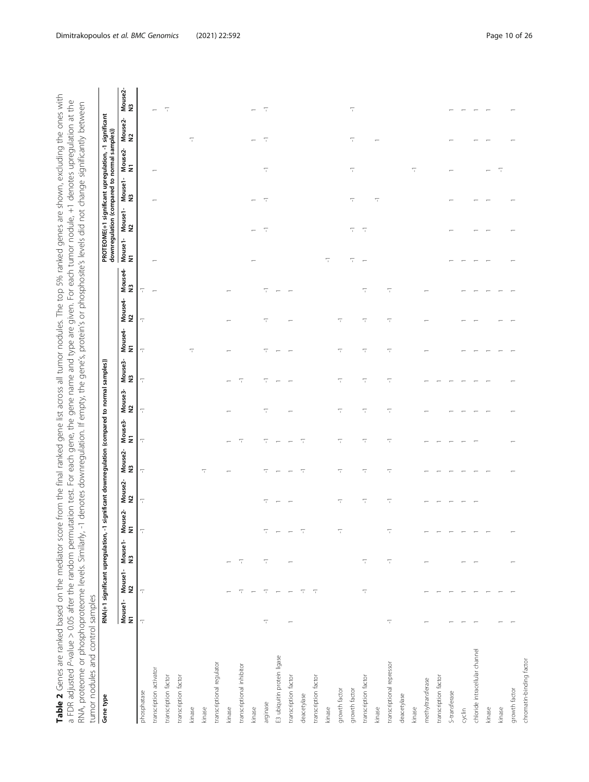<span id="page-9-0"></span>

| score from the final ranked gene list across all tumor nodules. The top 5% ranked genes are shown, excluding the ones with | mutation test. For each gene, the gene and type are given. For each tumor nodule, +1 denotes upregulation at the | y, -1 denotes downregulation. If empty, the gene's, protein's or phosphosite's levels did not change significantly between |                                  |
|----------------------------------------------------------------------------------------------------------------------------|------------------------------------------------------------------------------------------------------------------|----------------------------------------------------------------------------------------------------------------------------|----------------------------------|
| Table 2 Genes are ranked based on the mediator sc                                                                          | a FDR adjusted P-value $> 0.05$ after the random perr                                                            | PNA, proteome or phosphoproteome levels. Similarly                                                                         | umor nodules and control samples |

| Gene type                      |                          | RNA(+1 significant upregulation, |               |                          |                          | -1 significant downregulation (compared to normal samples)) |                          |                          |                          |                          |                          |               |                          |                          |                          | PROTEOME(+1 significant upregulation, -1 significant<br>downregulation (compared to normal samples)) |               |                   |
|--------------------------------|--------------------------|----------------------------------|---------------|--------------------------|--------------------------|-------------------------------------------------------------|--------------------------|--------------------------|--------------------------|--------------------------|--------------------------|---------------|--------------------------|--------------------------|--------------------------|------------------------------------------------------------------------------------------------------|---------------|-------------------|
|                                | Mouse1-<br>N1            | Mouse1-<br>N2                    | Mouse1-<br>N3 | Mouse2-<br>N1            | Mouse2-<br>N2            | Mouse2-<br>N3                                               | Mouse3-<br>N1            | Mouse3-<br>N2            | Mouse3-<br>N3            | Mouse4-<br>N1            | Mouse4-<br>N2            | Mouse4-<br>N3 | Mouse1-<br>N1            |                          | Mouse1-Mouse1-<br>N2     | Mouse2-<br>N1                                                                                        | Mouse2-<br>N2 | Mouse2-<br>N3     |
| phosphatase                    | $\overline{\phantom{a}}$ | $\overline{\phantom{a}}$         |               | T                        | $\overline{\phantom{a}}$ | π                                                           | $\overline{\phantom{a}}$ | $\overline{\phantom{0}}$ | $\overline{\phantom{0}}$ | $\overline{\phantom{a}}$ | $\overline{\phantom{a}}$ | π             |                          |                          |                          |                                                                                                      |               |                   |
| transcription activator        |                          |                                  |               |                          |                          |                                                             |                          |                          |                          |                          |                          |               |                          |                          |                          |                                                                                                      |               |                   |
| transcription factor           |                          |                                  |               |                          |                          |                                                             |                          |                          |                          |                          |                          |               |                          |                          |                          |                                                                                                      |               |                   |
| transcription factor           |                          |                                  |               |                          |                          |                                                             |                          |                          |                          |                          |                          |               |                          |                          |                          |                                                                                                      |               |                   |
| kinase                         |                          |                                  |               |                          |                          |                                                             |                          |                          |                          | $\overline{\phantom{0}}$ |                          |               |                          |                          |                          |                                                                                                      | 7             |                   |
| kinase                         |                          |                                  |               |                          |                          | 7                                                           |                          |                          |                          |                          |                          |               |                          |                          |                          |                                                                                                      |               |                   |
| transcriptional regulator      |                          |                                  |               |                          |                          |                                                             |                          |                          |                          |                          |                          |               |                          |                          |                          |                                                                                                      |               |                   |
| kinase                         |                          |                                  |               |                          |                          |                                                             |                          |                          |                          |                          |                          |               |                          |                          |                          |                                                                                                      |               |                   |
| transcriptional inhibitor      |                          | π                                | π             |                          |                          |                                                             | Τ                        |                          | Τ                        |                          |                          |               |                          |                          |                          |                                                                                                      |               |                   |
| kinase                         |                          |                                  |               |                          |                          |                                                             |                          |                          |                          |                          |                          |               |                          | $\overline{ }$           |                          |                                                                                                      |               |                   |
| arginase                       | 7                        | π                                | 7             | T                        | 7                        | 7                                                           | 7                        | 7                        | 7                        | 7                        | π                        | π             |                          | $\overline{\phantom{a}}$ | $\overline{\phantom{a}}$ | 7                                                                                                    | π             | $\overline{\tau}$ |
| E3 ubiquitin protein ligase    |                          |                                  |               | $\overline{\phantom{0}}$ |                          |                                                             |                          |                          |                          |                          |                          |               |                          |                          |                          |                                                                                                      |               |                   |
| transcription factor           |                          | $\overline{ }$                   |               | $\overline{\phantom{0}}$ |                          |                                                             |                          |                          |                          |                          |                          |               |                          |                          |                          |                                                                                                      |               |                   |
| deacetylase                    |                          | π                                |               | T                        |                          | π                                                           | π                        |                          |                          |                          |                          |               |                          |                          |                          |                                                                                                      |               |                   |
| transcription factor           |                          | π                                |               |                          |                          |                                                             |                          |                          |                          |                          |                          |               |                          |                          |                          |                                                                                                      |               |                   |
| kinase                         |                          |                                  |               |                          |                          |                                                             |                          |                          |                          |                          |                          |               | π                        |                          |                          |                                                                                                      |               |                   |
| growth factor                  |                          |                                  |               | T                        | π                        | π                                                           | π                        | 루                        | $\overline{\phantom{a}}$ | π                        | π                        |               |                          |                          |                          |                                                                                                      |               |                   |
| growth factor                  |                          |                                  |               |                          |                          |                                                             |                          |                          |                          |                          |                          |               | π                        | π                        | π                        | π                                                                                                    | π             | π                 |
| transcription factor           |                          | $\overline{\phantom{a}}$         | 7             |                          | 7                        | 7                                                           | π                        | 7                        | 7                        | 7                        | 7                        | π             | $\overline{\phantom{a}}$ | $\overline{\phantom{a}}$ |                          |                                                                                                      |               |                   |
| kinase                         |                          |                                  |               |                          |                          |                                                             |                          |                          |                          |                          |                          |               |                          |                          | π                        |                                                                                                      |               |                   |
| transcriptional repressor      | π                        |                                  | π             | π                        | 7                        | π                                                           | π                        | 7                        | π                        | π                        | π                        | π             |                          |                          |                          |                                                                                                      |               |                   |
| deacetylase                    |                          |                                  |               |                          |                          |                                                             |                          |                          |                          |                          |                          |               |                          |                          |                          |                                                                                                      |               |                   |
| kinase                         |                          |                                  |               |                          |                          |                                                             |                          |                          |                          |                          |                          |               |                          |                          |                          | Τ                                                                                                    |               |                   |
| methyltransferase              |                          |                                  |               |                          |                          |                                                             |                          |                          |                          |                          |                          |               |                          |                          |                          |                                                                                                      |               |                   |
| transcription factor           |                          |                                  |               |                          |                          |                                                             |                          |                          |                          |                          |                          |               |                          |                          |                          |                                                                                                      |               |                   |
| S-transferase                  |                          |                                  |               |                          |                          |                                                             |                          |                          |                          |                          |                          |               |                          |                          |                          |                                                                                                      |               |                   |
| cyclin                         |                          |                                  |               |                          |                          |                                                             |                          |                          |                          |                          |                          |               |                          |                          |                          |                                                                                                      |               |                   |
| chloride intracellular channel |                          |                                  |               |                          |                          |                                                             |                          |                          |                          |                          |                          |               |                          |                          |                          |                                                                                                      |               |                   |
| kinase                         |                          |                                  |               |                          |                          |                                                             |                          |                          |                          |                          |                          |               |                          |                          |                          |                                                                                                      |               |                   |
| kinase                         |                          |                                  |               |                          |                          |                                                             |                          |                          |                          |                          |                          |               |                          |                          |                          | π                                                                                                    |               |                   |
| growth factor                  |                          |                                  |               |                          |                          |                                                             |                          |                          |                          |                          |                          |               |                          |                          |                          |                                                                                                      |               |                   |
| chromatin-binding factor       |                          |                                  |               |                          |                          |                                                             |                          |                          |                          |                          |                          |               |                          |                          |                          |                                                                                                      |               |                   |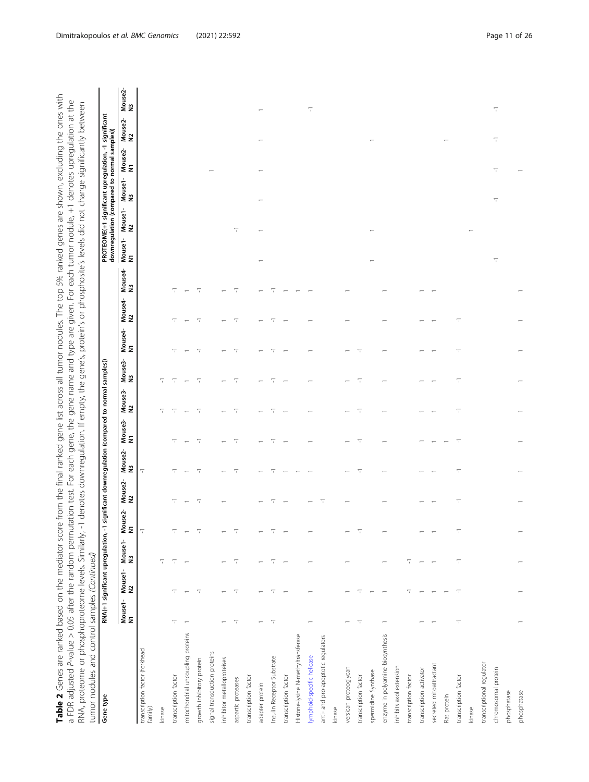| Table 2 Genes are ranked based on the mediator score from the final ranked gene list across all tumor nodules. The top 5% ranked genes are shown, excluding the ones with | a FDR adjusted P-value > 0.05 after the random permutation test. For each gene, the gene name and type are given. For each tumor nodule, +1 denotes upregulation at the | rly, -1 denotes downregulation. If empty, the gene's, protein's or phosphosite's levels did not change significantly between |                                                     |  |
|---------------------------------------------------------------------------------------------------------------------------------------------------------------------------|-------------------------------------------------------------------------------------------------------------------------------------------------------------------------|------------------------------------------------------------------------------------------------------------------------------|-----------------------------------------------------|--|
|                                                                                                                                                                           |                                                                                                                                                                         | RNA, proteome or phosphoproteome levels. Similar                                                                             | umor nodules and control samples <i>(Continued)</i> |  |

| Gene type                                 |               | RNA(+1 significant upregulation, -1 si |               |                          |               | gnificant downregulation (compared to normal samples)) |                          |                          |                          |                          |               |               |               | PROTEOME(+1 significant upregulation, -1 significant<br>downregulation (compared to normal samples)) |               |                          |                          |
|-------------------------------------------|---------------|----------------------------------------|---------------|--------------------------|---------------|--------------------------------------------------------|--------------------------|--------------------------|--------------------------|--------------------------|---------------|---------------|---------------|------------------------------------------------------------------------------------------------------|---------------|--------------------------|--------------------------|
|                                           | Mouse1-<br>N1 | Mouse1<br>N2                           | Mouse1-<br>N3 | Mouse2-<br>N1            | Mouse2-<br>N2 | Mouse2-<br>N3                                          | Mouse3-<br>N1            | Mouse3-<br>N2            | Mouse3-<br>N3            | Mouse4-<br>N1            | Mouse4-<br>N2 | Mouse4-<br>N3 | Mouse1-<br>N1 | Mouse1-<br>N3<br>Mouse1-<br>N2                                                                       | Mouse2-<br>N1 | Mouse2-<br>N2            | Mouse2-<br>N3            |
| transcription factor (forkhead<br>family) |               |                                        |               | $\overline{\phantom{a}}$ |               | $\overline{\phantom{a}}$                               |                          |                          |                          |                          |               |               |               |                                                                                                      |               |                          |                          |
| kinase                                    |               |                                        | 7             |                          |               |                                                        |                          | 7                        |                          |                          |               |               |               |                                                                                                      |               |                          |                          |
| transcription factor                      | ℸ             |                                        | Τ             |                          |               | ╦                                                      | ╦                        | π                        | Τ                        | 루                        |               |               |               |                                                                                                      |               |                          |                          |
| mitochondrial uncoupling proteins         |               |                                        |               |                          |               |                                                        |                          | $\overline{\phantom{m}}$ |                          |                          |               |               |               |                                                                                                      |               |                          |                          |
| growth inhibitory protein                 |               | π                                      |               |                          | π             | π                                                      | π                        | π                        | π                        | $\overline{\phantom{0}}$ | π             | π             |               |                                                                                                      |               |                          |                          |
| signal transduction proteins              |               |                                        |               |                          |               |                                                        |                          |                          |                          |                          |               |               |               |                                                                                                      |               |                          |                          |
| inhibitor metalloproteises                |               |                                        |               |                          |               |                                                        |                          |                          |                          |                          |               |               |               |                                                                                                      |               |                          |                          |
| aspartic proteases                        | π             | π                                      | π             |                          |               | π                                                      | $\overline{\phantom{a}}$ | $\overline{\phantom{a}}$ | π                        | $\overline{\phantom{0}}$ | 7             | 7             |               | π                                                                                                    |               |                          |                          |
| transcription factor                      |               |                                        |               |                          |               |                                                        |                          |                          |                          |                          |               |               |               |                                                                                                      |               |                          |                          |
| adapter protein                           |               |                                        |               |                          |               |                                                        |                          |                          |                          |                          |               |               |               |                                                                                                      |               |                          |                          |
| Insulin Receptor Substrate                | π             |                                        |               |                          |               |                                                        | Τ                        | T                        | 7                        | 7                        |               |               |               |                                                                                                      |               |                          |                          |
| transcription factor                      |               |                                        |               |                          |               |                                                        |                          |                          |                          |                          |               |               |               |                                                                                                      |               |                          |                          |
| Histone-lysine N-methyltransferase        |               |                                        |               |                          |               |                                                        |                          |                          |                          |                          |               |               |               |                                                                                                      |               |                          |                          |
| lymphoid-specific helicase                |               |                                        |               |                          |               |                                                        |                          |                          |                          |                          |               |               |               |                                                                                                      |               |                          | π                        |
| anti- and pro-apoptotic regulators        |               |                                        |               |                          | π             |                                                        |                          |                          |                          |                          |               |               |               |                                                                                                      |               |                          |                          |
| kinase                                    |               |                                        |               |                          |               |                                                        |                          |                          |                          |                          |               |               |               |                                                                                                      |               |                          |                          |
| versican proteoglycan                     |               |                                        |               |                          |               |                                                        |                          |                          |                          |                          |               |               |               |                                                                                                      |               |                          |                          |
| transcription factor                      | π             | π                                      |               |                          |               | π                                                      | $\overline{\phantom{a}}$ | π                        | $\overline{\phantom{a}}$ | π                        |               |               |               |                                                                                                      |               |                          |                          |
| spermidine Synthase                       |               |                                        |               |                          |               |                                                        |                          |                          |                          |                          |               |               |               |                                                                                                      |               |                          |                          |
| enzyme in polyamine biosynthesis          |               |                                        |               |                          |               |                                                        |                          |                          |                          |                          |               |               |               |                                                                                                      |               |                          |                          |
| inhibits axol extension                   |               |                                        |               |                          |               |                                                        |                          |                          |                          |                          |               |               |               |                                                                                                      |               |                          |                          |
| transcription factor                      |               | 7                                      | T             |                          |               |                                                        |                          |                          |                          |                          |               |               |               |                                                                                                      |               |                          |                          |
| transcription activator                   |               |                                        |               |                          |               |                                                        |                          |                          |                          |                          |               |               |               |                                                                                                      |               |                          |                          |
| secreted mitoattractant                   |               |                                        |               |                          |               |                                                        |                          |                          |                          |                          |               |               |               |                                                                                                      |               |                          |                          |
| Ras protein                               |               |                                        |               |                          |               |                                                        |                          |                          |                          |                          |               |               |               |                                                                                                      |               |                          |                          |
| transcription factor                      | π             | π                                      | π             | π                        | 7             | π                                                      | π                        | π                        | π                        | 7                        | 7             |               |               |                                                                                                      |               |                          |                          |
| kinase                                    |               |                                        |               |                          |               |                                                        |                          |                          |                          |                          |               |               |               |                                                                                                      |               |                          |                          |
| transcriptional regulator                 |               |                                        |               |                          |               |                                                        |                          |                          |                          |                          |               |               |               |                                                                                                      |               |                          |                          |
| chromosomal protein                       |               |                                        |               |                          |               |                                                        |                          |                          |                          |                          |               |               | π             | $\overline{\phantom{a}}$                                                                             | π             | $\overline{\phantom{a}}$ | $\overline{\phantom{0}}$ |
| phosphatase                               |               |                                        |               |                          |               |                                                        |                          |                          |                          |                          |               |               |               |                                                                                                      |               |                          |                          |
| phosphatase                               |               |                                        |               |                          |               |                                                        |                          |                          |                          |                          |               |               |               |                                                                                                      |               |                          |                          |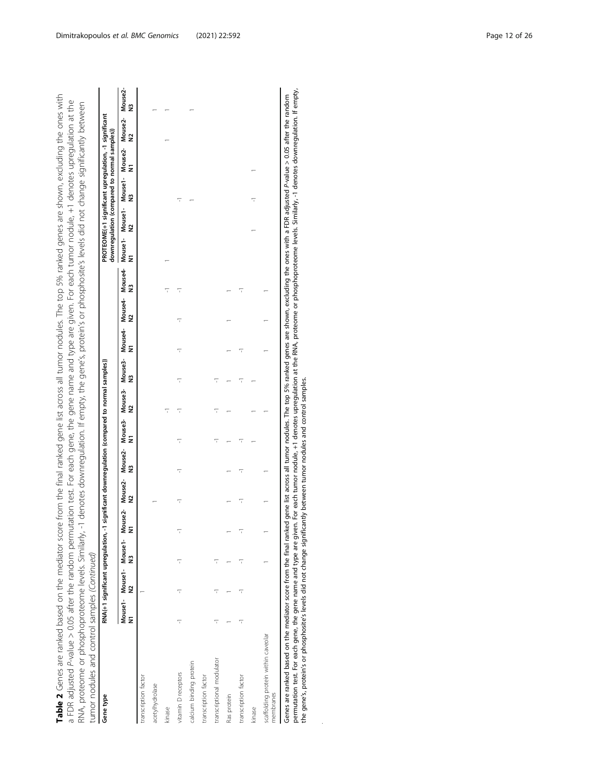| Gene type                                                                                                                                                                                                                                                                                                                                                                                                                                                                                                                                                     |   | RNA(+1 significant upregulation, -1 significant downregulation (compared to normal samples)) |   |              |              |              |                      |                               |              |              |              |              | PROTEOME(+1 significant upregulation, -1 significant<br>downregulation (compared to normal samples)) |   |              |                                 |              |
|---------------------------------------------------------------------------------------------------------------------------------------------------------------------------------------------------------------------------------------------------------------------------------------------------------------------------------------------------------------------------------------------------------------------------------------------------------------------------------------------------------------------------------------------------------------|---|----------------------------------------------------------------------------------------------|---|--------------|--------------|--------------|----------------------|-------------------------------|--------------|--------------|--------------|--------------|------------------------------------------------------------------------------------------------------|---|--------------|---------------------------------|--------------|
|                                                                                                                                                                                                                                                                                                                                                                                                                                                                                                                                                               | Ξ | Mouse1- Mouse1- Mouse1- Mouse2-<br>2                                                         | 2 | Mouse2-<br>2 | Mouse2-<br>2 | Mouse3-<br>Ξ | $\tilde{\mathbf{z}}$ | Mouse3-Mouse3-<br>$\tilde{z}$ | Mouse4-<br>Ξ | Mouse4-<br>2 | Mouse4-<br>2 | Mouse1-<br>Ξ | Mouse1-Mouse1-<br>2                                                                                  | 2 | Mouse2-<br>Ξ | Mouse2-<br>$\tilde{\mathbf{z}}$ | Mouse2-<br>2 |
| transcription factor                                                                                                                                                                                                                                                                                                                                                                                                                                                                                                                                          |   |                                                                                              |   |              |              |              |                      |                               |              |              |              |              |                                                                                                      |   |              |                                 |              |
| acetylhydrolase                                                                                                                                                                                                                                                                                                                                                                                                                                                                                                                                               |   |                                                                                              |   |              |              |              |                      |                               |              |              |              |              |                                                                                                      |   |              |                                 |              |
| kinase                                                                                                                                                                                                                                                                                                                                                                                                                                                                                                                                                        |   |                                                                                              |   |              |              |              |                      |                               |              |              |              |              |                                                                                                      |   |              |                                 |              |
| vitamin D receptors                                                                                                                                                                                                                                                                                                                                                                                                                                                                                                                                           | ī | ī                                                                                            |   |              |              | ī            | ï                    |                               |              |              | ī            |              |                                                                                                      |   |              |                                 |              |
| calcium binding protein                                                                                                                                                                                                                                                                                                                                                                                                                                                                                                                                       |   |                                                                                              |   |              |              |              |                      |                               |              |              |              |              |                                                                                                      |   |              |                                 |              |
| transcription factor                                                                                                                                                                                                                                                                                                                                                                                                                                                                                                                                          |   |                                                                                              |   |              |              |              |                      |                               |              |              |              |              |                                                                                                      |   |              |                                 |              |
| transcriptional modulator                                                                                                                                                                                                                                                                                                                                                                                                                                                                                                                                     |   |                                                                                              |   |              |              |              |                      |                               |              |              |              |              |                                                                                                      |   |              |                                 |              |
| Ras protein                                                                                                                                                                                                                                                                                                                                                                                                                                                                                                                                                   |   |                                                                                              |   |              |              |              |                      |                               |              |              |              |              |                                                                                                      |   |              |                                 |              |
| transcription factor                                                                                                                                                                                                                                                                                                                                                                                                                                                                                                                                          |   |                                                                                              |   |              |              |              |                      |                               |              |              |              |              |                                                                                                      |   |              |                                 |              |
| kinase                                                                                                                                                                                                                                                                                                                                                                                                                                                                                                                                                        |   |                                                                                              |   |              |              |              |                      |                               |              |              |              |              |                                                                                                      |   |              |                                 |              |
| scaffolding protein within caveolar<br>membranes                                                                                                                                                                                                                                                                                                                                                                                                                                                                                                              |   |                                                                                              |   |              |              |              |                      |                               |              |              |              |              |                                                                                                      |   |              |                                 |              |
| permutation test. For each gene, the gene name and type are given. For each tumor nodule, +1 denotes upregulation at the RNA, proteome or phosphoproteome levels. Similarly, -1 denotes downregulation. If empty,<br>Genes are ranked based on the mediator score from the final ranked gene list across all tumor nodules. The top 5% ranked genes are shown, excluding the ones with a FDR adjusted P-value > 0.05 after the random<br>the gene's, protein's or phosphosite's levels did not change significantly between tumor nodules and control samples |   |                                                                                              |   |              |              |              |                      |                               |              |              |              |              |                                                                                                      |   |              |                                 |              |

 $\overline{a}$ 

 $\ddot{\phantom{a}}$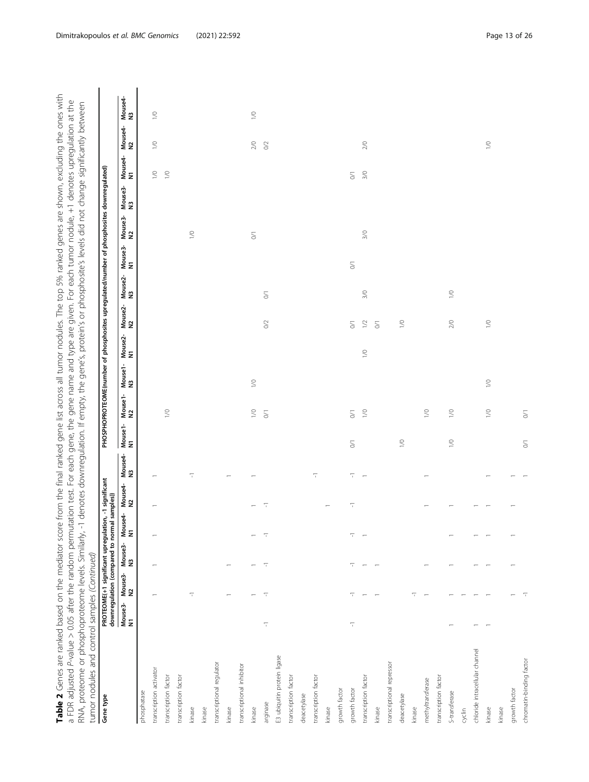| Table 2 Genes are ranked based on the mediator score from the final ranked gene list across all tumor nodules. The top 5% ranked genes are shown, excluding the ones with               |
|-----------------------------------------------------------------------------------------------------------------------------------------------------------------------------------------|
| a FDR adjusted P-value > 0.05 after the random permutation test. For each gene, the gene name and type are given. For each tumor nodule, +1 denotes upregulation at the                 |
| $\kappa$ -1 denotes downregulation. If empty, the gene's, protein's or phosphosite's levels did not change significantly between<br>RNA, proteome or phosphoproteome levels. Similarly, |
| umor nodules and control samples (Continued)                                                                                                                                            |
| المحمولين ومستحدث ومعاد والمحمولين كمستوفي بمعارضهم المحمولين ومستحد والمستحد والمتحدث والمستحدة والمتحدث والتاكر التاكر<br>المستحقة المسابق المستقصاء<br><b>COLORATION</b>             |

| Gene type                      |               |               | PROTEOME(+1 significant upregulation, -1 significant<br>downregulation (compared to normal samples)) |               |                          |                          |                                                    |                                                | PHOSPHOPROTEOME(number of phosphosites upregulated/number of phosphosites downregulated) |               |                                                    |                          |                                                    |                                                    |               |                                                |               |                                       |
|--------------------------------|---------------|---------------|------------------------------------------------------------------------------------------------------|---------------|--------------------------|--------------------------|----------------------------------------------------|------------------------------------------------|------------------------------------------------------------------------------------------|---------------|----------------------------------------------------|--------------------------|----------------------------------------------------|----------------------------------------------------|---------------|------------------------------------------------|---------------|---------------------------------------|
|                                | Mouse3-<br>N1 | Mouse3-<br>N2 | Mouse3-<br>N3                                                                                        | Mouse4-<br>N1 | Mouse4-<br>N2            | Mouse4-<br>N3            | Mouse1-<br>N1                                      | Mouse1-<br>N2                                  | Mouse1-<br>N3                                                                            | Mouse2-<br>N1 | Mouse2-<br>N2                                      | Mouse2-<br>N3            | Mouse3-<br>N1                                      | Mouse3-<br>N2                                      | Mouse3-<br>N3 | Mouse4-<br>N1                                  | Mouse4-<br>N2 | Mouse4-<br>N3                         |
| phosphatase                    |               |               |                                                                                                      |               |                          |                          |                                                    |                                                |                                                                                          |               |                                                    |                          |                                                    |                                                    |               |                                                |               |                                       |
| transcription activator        |               |               |                                                                                                      |               |                          |                          |                                                    |                                                |                                                                                          |               |                                                    |                          |                                                    |                                                    |               | $\geq$                                         | $\geq$        | $\geq$                                |
| transcription factor           |               |               |                                                                                                      |               |                          |                          |                                                    | $\geq$                                         |                                                                                          |               |                                                    |                          |                                                    |                                                    |               | $\geq$                                         |               |                                       |
| transcription factor           |               |               |                                                                                                      |               |                          |                          |                                                    |                                                |                                                                                          |               |                                                    |                          |                                                    |                                                    |               |                                                |               |                                       |
| kinase                         |               | π             |                                                                                                      |               |                          | $\overline{\phantom{a}}$ |                                                    |                                                |                                                                                          |               |                                                    |                          |                                                    | $\geq$                                             |               |                                                |               |                                       |
| kinase                         |               |               |                                                                                                      |               |                          |                          |                                                    |                                                |                                                                                          |               |                                                    |                          |                                                    |                                                    |               |                                                |               |                                       |
| transcriptional regulator      |               |               |                                                                                                      |               |                          |                          |                                                    |                                                |                                                                                          |               |                                                    |                          |                                                    |                                                    |               |                                                |               |                                       |
| kinase                         |               |               |                                                                                                      |               |                          |                          |                                                    |                                                |                                                                                          |               |                                                    |                          |                                                    |                                                    |               |                                                |               |                                       |
| transcriptional inhibitor      |               |               |                                                                                                      |               |                          |                          |                                                    |                                                |                                                                                          |               |                                                    |                          |                                                    |                                                    |               |                                                |               |                                       |
| kinase                         |               |               |                                                                                                      |               |                          |                          |                                                    | $\geq$                                         | $\geq$                                                                                   |               |                                                    |                          |                                                    | $\stackrel{\scriptstyle\frown}{\phantom{}_{\sim}}$ |               |                                                | $2/0$         | $\stackrel{\textstyle\circ}{\!\!\!=}$ |
| arginase                       | π             | 루             | π                                                                                                    | 7             | $\overline{\phantom{a}}$ |                          |                                                    | $\overline{\delta}$                            |                                                                                          |               | $\rm O2$                                           | $\overline{\mathcal{S}}$ |                                                    |                                                    |               |                                                | $\rm O2$      |                                       |
| E3 ubiquitin protein ligase    |               |               |                                                                                                      |               |                          |                          |                                                    |                                                |                                                                                          |               |                                                    |                          |                                                    |                                                    |               |                                                |               |                                       |
| transcription factor           |               |               |                                                                                                      |               |                          |                          |                                                    |                                                |                                                                                          |               |                                                    |                          |                                                    |                                                    |               |                                                |               |                                       |
| deacetylase                    |               |               |                                                                                                      |               |                          |                          |                                                    |                                                |                                                                                          |               |                                                    |                          |                                                    |                                                    |               |                                                |               |                                       |
| transcription factor           |               |               |                                                                                                      |               |                          | $\overline{\phantom{a}}$ |                                                    |                                                |                                                                                          |               |                                                    |                          |                                                    |                                                    |               |                                                |               |                                       |
| kinase                         |               |               |                                                                                                      |               |                          |                          |                                                    |                                                |                                                                                          |               |                                                    |                          |                                                    |                                                    |               |                                                |               |                                       |
| growth factor                  |               |               |                                                                                                      |               |                          |                          |                                                    |                                                |                                                                                          |               |                                                    |                          |                                                    |                                                    |               |                                                |               |                                       |
| growth factor                  | π             | π             | π                                                                                                    | π             | $\overline{\phantom{a}}$ | $\overline{\phantom{a}}$ | $\stackrel{\scriptstyle\frown}{\phantom{}_{\sim}}$ | $\stackrel{\scriptstyle <}{\scriptstyle \sim}$ |                                                                                          |               | $\stackrel{\scriptstyle\frown}{\phantom{}_{\sim}}$ |                          | $\stackrel{\scriptstyle\frown}{\phantom{}_{\sim}}$ |                                                    |               | $\stackrel{\scriptstyle <}{\phantom{}_{\sim}}$ |               |                                       |
| transcription factor           |               |               |                                                                                                      |               |                          | $\overline{\phantom{0}}$ |                                                    | $1\sqrt{0}$                                    |                                                                                          | $\geq$        | $1\,$ $\!2$                                        | $3/0$                    |                                                    | $3/0$                                              |               | $3/0$                                          | $2/0$         |                                       |
| kinase                         |               |               |                                                                                                      |               |                          |                          |                                                    |                                                |                                                                                          |               | $\rm \lesssim$                                     |                          |                                                    |                                                    |               |                                                |               |                                       |
| transcriptional repressor      |               |               |                                                                                                      |               |                          |                          |                                                    |                                                |                                                                                          |               |                                                    |                          |                                                    |                                                    |               |                                                |               |                                       |
| deacetylase                    |               |               |                                                                                                      |               |                          |                          | $\gtrsim$                                          |                                                |                                                                                          |               | $\geq$                                             |                          |                                                    |                                                    |               |                                                |               |                                       |
| kinase                         |               | 7             |                                                                                                      |               |                          |                          |                                                    |                                                |                                                                                          |               |                                                    |                          |                                                    |                                                    |               |                                                |               |                                       |
| methyltransferase              |               |               |                                                                                                      |               |                          |                          |                                                    | $\geq$                                         |                                                                                          |               |                                                    |                          |                                                    |                                                    |               |                                                |               |                                       |
| transcription factor           |               |               |                                                                                                      |               |                          |                          |                                                    |                                                |                                                                                          |               |                                                    |                          |                                                    |                                                    |               |                                                |               |                                       |
| S-transferase                  |               |               |                                                                                                      |               |                          |                          | $\geq$                                             | $\gtrsim$                                      |                                                                                          |               | $2/0$                                              | $\gtrsim$                |                                                    |                                                    |               |                                                |               |                                       |
| cyclin                         |               |               |                                                                                                      |               |                          |                          |                                                    |                                                |                                                                                          |               |                                                    |                          |                                                    |                                                    |               |                                                |               |                                       |
| chloride intracellular channel |               |               |                                                                                                      |               |                          |                          |                                                    |                                                |                                                                                          |               |                                                    |                          |                                                    |                                                    |               |                                                |               |                                       |
| kinase                         |               |               |                                                                                                      |               |                          | $\overline{\phantom{0}}$ |                                                    | $\geq$                                         | $\geq$                                                                                   |               | $\geq$                                             |                          |                                                    |                                                    |               |                                                | $\geq$        |                                       |
| kinase                         |               |               |                                                                                                      |               |                          |                          |                                                    |                                                |                                                                                          |               |                                                    |                          |                                                    |                                                    |               |                                                |               |                                       |
| growth factor                  |               |               |                                                                                                      |               |                          |                          |                                                    |                                                |                                                                                          |               |                                                    |                          |                                                    |                                                    |               |                                                |               |                                       |
| chromatin-binding factor       |               |               |                                                                                                      |               |                          |                          | $\overline{\delta}$                                | $\rm\sim$                                      |                                                                                          |               |                                                    |                          |                                                    |                                                    |               |                                                |               |                                       |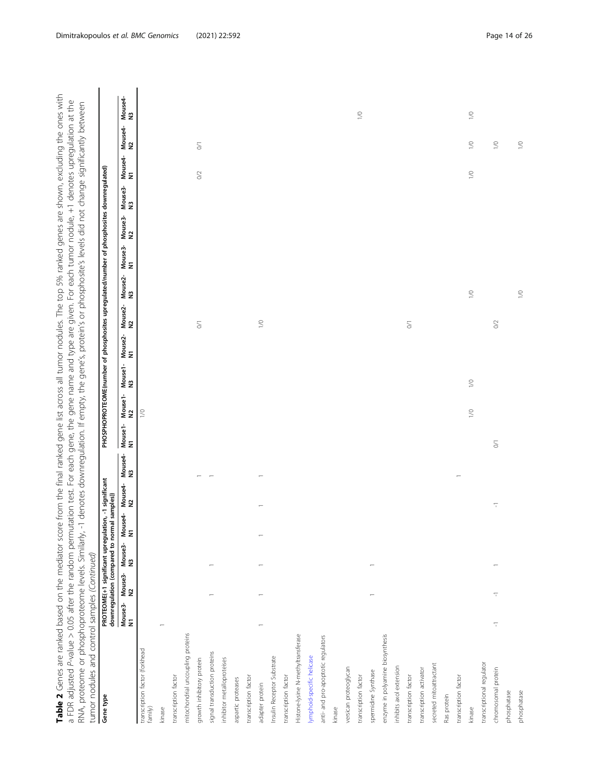Table 2 Genes are ranked based on the mediator score from the final ranked gene list across all tumor nodules. The top 5% ranked genes are shown, excluding the ones with<br>a FDR adjusted P-value > 0.05 after the random permu Table 2 Genes are ranked based on the mediator score from the final ranked gene list across all tumor nodules. The top 5% ranked genes are shown, excluding the ones with a FDR adjusted P-value > 0.05 after the random permutation test. For each gene, the gene name and type are given. For each tumor nodule, +1 denotes upregulation at the

| Gene type                                 |               |   |                            |               | PROTEOME(+1 significant upregulation, -1 significant<br>downregulation (compared to normal samples)) |                          |            |                             | PHOSPHOPROTEOME(number of phosphosites upregulated/number of phosphosites downregulated) |                      |                     |               |               |               |               |               |                                                |               |
|-------------------------------------------|---------------|---|----------------------------|---------------|------------------------------------------------------------------------------------------------------|--------------------------|------------|-----------------------------|------------------------------------------------------------------------------------------|----------------------|---------------------|---------------|---------------|---------------|---------------|---------------|------------------------------------------------|---------------|
|                                           | Mouse3-<br>N1 |   | Mouse3-Mouse3-<br>N2<br>N3 | Mouse4-<br>N1 | Mouse4-<br>N2                                                                                        | Mouse4-<br>N3            |            | Mouse1- Mouse1-<br>N1<br>N2 |                                                                                          | Mouse1-Mouse2-<br>N3 | Mouse2-<br>N2       | Mouse2-<br>N3 | Mouse3-<br>N1 | Mouse3-<br>N2 | Mouse3-<br>N3 | Mouse4-<br>N1 | Mouse4-<br>N2                                  | Mouse4-<br>N3 |
| transcription factor (forkhead<br>family) |               |   |                            |               |                                                                                                      |                          |            | $\geq$                      |                                                                                          |                      |                     |               |               |               |               |               |                                                |               |
| kinase                                    |               |   |                            |               |                                                                                                      |                          |            |                             |                                                                                          |                      |                     |               |               |               |               |               |                                                |               |
| transcription factor                      |               |   |                            |               |                                                                                                      |                          |            |                             |                                                                                          |                      |                     |               |               |               |               |               |                                                |               |
| mitochondrial uncoupling proteins         |               |   |                            |               |                                                                                                      |                          |            |                             |                                                                                          |                      |                     |               |               |               |               |               |                                                |               |
| growth inhibitory protein                 |               |   |                            |               |                                                                                                      |                          |            |                             |                                                                                          |                      | $\leq$              |               |               |               |               | $\rm \odot$   | $\stackrel{\scriptstyle <}{\phantom{}_{\sim}}$ |               |
| signal transduction proteins              |               |   |                            |               |                                                                                                      | $\overline{\phantom{a}}$ |            |                             |                                                                                          |                      |                     |               |               |               |               |               |                                                |               |
| inhibitor metalloproteises                |               |   |                            |               |                                                                                                      |                          |            |                             |                                                                                          |                      |                     |               |               |               |               |               |                                                |               |
| aspartic proteases                        |               |   |                            |               |                                                                                                      |                          |            |                             |                                                                                          |                      |                     |               |               |               |               |               |                                                |               |
| transcription factor                      |               |   |                            |               |                                                                                                      |                          |            |                             |                                                                                          |                      |                     |               |               |               |               |               |                                                |               |
| adapter protein                           |               |   |                            |               |                                                                                                      |                          |            |                             |                                                                                          |                      | $\geq$              |               |               |               |               |               |                                                |               |
| Insulin Receptor Substrate                |               |   |                            |               |                                                                                                      |                          |            |                             |                                                                                          |                      |                     |               |               |               |               |               |                                                |               |
| transcription factor                      |               |   |                            |               |                                                                                                      |                          |            |                             |                                                                                          |                      |                     |               |               |               |               |               |                                                |               |
| Histone-lysine N-methyltransferase        |               |   |                            |               |                                                                                                      |                          |            |                             |                                                                                          |                      |                     |               |               |               |               |               |                                                |               |
| ymphoid-specific helicase                 |               |   |                            |               |                                                                                                      |                          |            |                             |                                                                                          |                      |                     |               |               |               |               |               |                                                |               |
| anti- and pro-apoptotic regulators        |               |   |                            |               |                                                                                                      |                          |            |                             |                                                                                          |                      |                     |               |               |               |               |               |                                                |               |
| kinase                                    |               |   |                            |               |                                                                                                      |                          |            |                             |                                                                                          |                      |                     |               |               |               |               |               |                                                |               |
| versican proteoglycan                     |               |   |                            |               |                                                                                                      |                          |            |                             |                                                                                          |                      |                     |               |               |               |               |               |                                                |               |
| transcription factor                      |               |   |                            |               |                                                                                                      |                          |            |                             |                                                                                          |                      |                     |               |               |               |               |               |                                                | $\geq$        |
| spermidine Synthase                       |               |   |                            |               |                                                                                                      |                          |            |                             |                                                                                          |                      |                     |               |               |               |               |               |                                                |               |
| enzyme in polyamine biosynthesis          |               |   |                            |               |                                                                                                      |                          |            |                             |                                                                                          |                      |                     |               |               |               |               |               |                                                |               |
| inhibits axol extension                   |               |   |                            |               |                                                                                                      |                          |            |                             |                                                                                          |                      |                     |               |               |               |               |               |                                                |               |
| transcription factor                      |               |   |                            |               |                                                                                                      |                          |            |                             |                                                                                          |                      | $\overline{\delta}$ |               |               |               |               |               |                                                |               |
| transcription activator                   |               |   |                            |               |                                                                                                      |                          |            |                             |                                                                                          |                      |                     |               |               |               |               |               |                                                |               |
| secreted mitoattractant                   |               |   |                            |               |                                                                                                      |                          |            |                             |                                                                                          |                      |                     |               |               |               |               |               |                                                |               |
| Ras protein                               |               |   |                            |               |                                                                                                      |                          |            |                             |                                                                                          |                      |                     |               |               |               |               |               |                                                |               |
| transcription factor                      |               |   |                            |               |                                                                                                      |                          |            |                             |                                                                                          |                      |                     |               |               |               |               |               |                                                |               |
| kinase                                    |               |   |                            |               |                                                                                                      |                          |            | $\geq$                      | $\geq$                                                                                   |                      |                     | $\geq$        |               |               |               | $\geq$        | $\geq$                                         | $\geq$        |
| transcriptional regulator                 |               |   |                            |               |                                                                                                      |                          |            |                             |                                                                                          |                      |                     |               |               |               |               |               |                                                |               |
| chromosomal protein                       | 7             | 7 |                            |               | $\overline{\phantom{a}}$                                                                             |                          | $\lesssim$ |                             |                                                                                          |                      | $\rm{O}2$           |               |               |               |               |               | $\geq$                                         |               |
| phosphatase                               |               |   |                            |               |                                                                                                      |                          |            |                             |                                                                                          |                      |                     |               |               |               |               |               |                                                |               |
| phosphatase                               |               |   |                            |               |                                                                                                      |                          |            |                             |                                                                                          |                      |                     | $\geq$        |               |               |               |               | $\geq$                                         |               |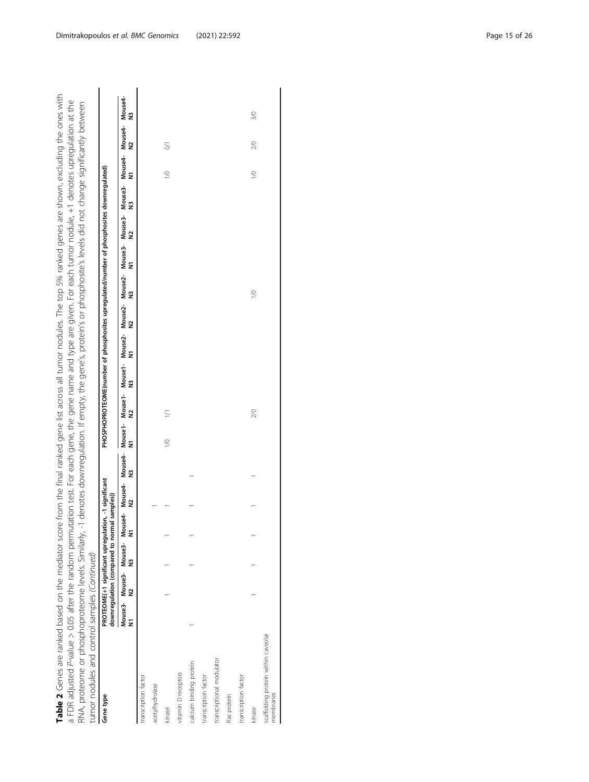Table 2 Genes are ranked based on the mediator score from the final ranked gene list across all tumor nodules. The top 5% ranked genes are shown, excluding the ones with Table 2 Genes are ranked based on the mediator score from the final ranked gene list across all tumor nodules. The top 5% ranked genes are shown, excluding the ones with a FDR adjusted P-value > 0.05 after the random permutation test. For each gene, the gene name and type are given. For each tumor nodule, +1 denotes upregulation at the RNA, proteome or phosphoproteome levels. Similarly, -1 denotes downregulation. If empty, the gene's, protein's or phosphosite's levels did not change significantly between a FDR adjusted P-value > 0.05 after the random permutation test. For each gene, the gene name and type are given. For each tumor nodule, +1 denotes upregulation at the RNA, proteome or phosphoproteome levels. Similarly, -1 denotes downregulation. If empty, the gene's, protein's or phosphosite's levels did not change significantly between

| tumor nodules and control samples (Continued)    |   |               |                                                                                                                                              |                      |   |        |        |   |   |   |                                                                                          |   |   |   |        |                |     |
|--------------------------------------------------|---|---------------|----------------------------------------------------------------------------------------------------------------------------------------------|----------------------|---|--------|--------|---|---|---|------------------------------------------------------------------------------------------|---|---|---|--------|----------------|-----|
| Gene type                                        |   |               | PROTEOME(+1 significant upregulation, -1 significant<br>downregulation (compared to normal samples))                                         |                      |   |        |        |   |   |   | PHOSPHOPROTEOME(number of phosphosites upregulated/number of phosphosites downregulated) |   |   |   |        |                |     |
|                                                  | 2 | $\frac{3}{2}$ | Mouse3- Mouse3- Mouse4- Mouse4- Mouse4- Mouse1- Mouse1- Mouse2- Mouse2- Mouse2- Mouse3- Mouse3- Mouse3- Mouse4- Mouse4- Mouse4-<br>$\bar{z}$ | $\tilde{\mathbf{z}}$ | 2 | Ξ      | 2      | 2 | E | 2 | 2                                                                                        | E | 2 | 2 | E      | 2              | 2   |
| transcription factor                             |   |               |                                                                                                                                              |                      |   |        |        |   |   |   |                                                                                          |   |   |   |        |                |     |
| acetylhydrolase                                  |   |               |                                                                                                                                              |                      |   |        |        |   |   |   |                                                                                          |   |   |   |        |                |     |
| kinase                                           |   |               |                                                                                                                                              |                      |   | $\leq$ | $\geq$ |   |   |   |                                                                                          |   |   |   | $\geq$ | $\overline{5}$ |     |
| vitamin D receptors                              |   |               |                                                                                                                                              |                      |   |        |        |   |   |   |                                                                                          |   |   |   |        |                |     |
| calcium binding protein                          |   |               |                                                                                                                                              |                      |   |        |        |   |   |   |                                                                                          |   |   |   |        |                |     |
| transcription factor                             |   |               |                                                                                                                                              |                      |   |        |        |   |   |   |                                                                                          |   |   |   |        |                |     |
| transcriptional modulator                        |   |               |                                                                                                                                              |                      |   |        |        |   |   |   |                                                                                          |   |   |   |        |                |     |
| Ras protein                                      |   |               |                                                                                                                                              |                      |   |        |        |   |   |   |                                                                                          |   |   |   |        |                |     |
| transcription factor                             |   |               |                                                                                                                                              |                      |   |        |        |   |   |   |                                                                                          |   |   |   |        |                |     |
| kinase                                           |   |               |                                                                                                                                              |                      |   |        | 2/0    |   |   |   | $\leq$                                                                                   |   |   |   | $\leq$ | $\approx$      | 3/0 |
| scaffolding protein within caveolar<br>membranes |   |               |                                                                                                                                              |                      |   |        |        |   |   |   |                                                                                          |   |   |   |        |                |     |
|                                                  |   |               |                                                                                                                                              |                      |   |        |        |   |   |   |                                                                                          |   |   |   |        |                |     |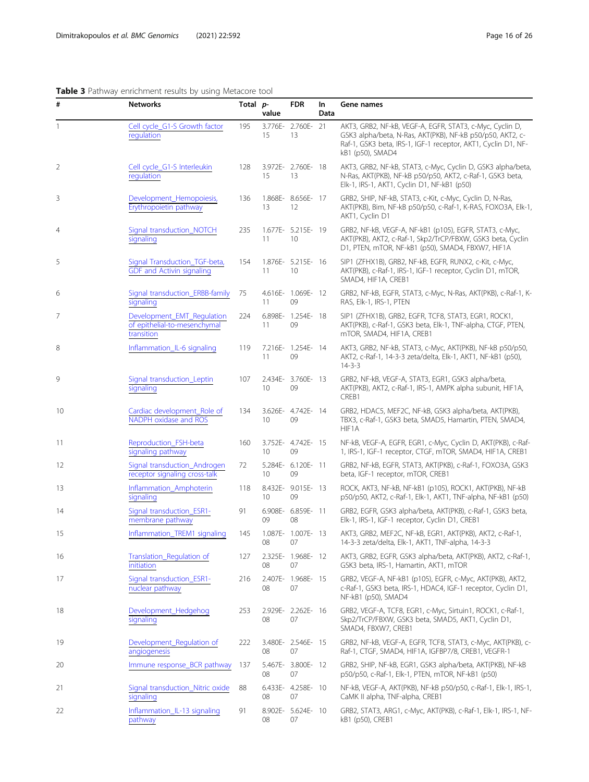# <span id="page-15-0"></span>Table 3 Pathway enrichment results by using Metacore tool

| #              | <b>Networks</b>                                                          | Total p- | value | <b>FDR</b>               | In<br>Data | Gene names                                                                                                                                                                                                 |
|----------------|--------------------------------------------------------------------------|----------|-------|--------------------------|------------|------------------------------------------------------------------------------------------------------------------------------------------------------------------------------------------------------------|
| 1              | Cell cycle_G1-S Growth factor<br>regulation                              | 195      | 15    | 3.776E- 2.760E- 21<br>13 |            | AKT3, GRB2, NF-kB, VEGF-A, EGFR, STAT3, c-Myc, Cyclin D,<br>GSK3 alpha/beta, N-Ras, AKT(PKB), NF-kB p50/p50, AKT2, c-<br>Raf-1, GSK3 beta, IRS-1, IGF-1 receptor, AKT1, Cyclin D1, NF-<br>kB1 (p50), SMAD4 |
| $\overline{2}$ | Cell cycle_G1-S Interleukin<br>regulation                                | 128      | 15    | 3.972E- 2.760E- 18<br>13 |            | AKT3, GRB2, NF-kB, STAT3, c-Myc, Cyclin D, GSK3 alpha/beta,<br>N-Ras, AKT(PKB), NF-kB p50/p50, AKT2, c-Raf-1, GSK3 beta,<br>Elk-1, IRS-1, AKT1, Cyclin D1, NF-kB1 (p50)                                    |
| 3              | Development_Hemopoiesis,<br>Erythropoietin pathway                       | 136      | 13    | 1.868E- 8.656E- 17<br>12 |            | GRB2, SHIP, NF-kB, STAT3, c-Kit, c-Myc, Cyclin D, N-Ras,<br>AKT(PKB), Bim, NF-kB p50/p50, c-Raf-1, K-RAS, FOXO3A, Elk-1,<br>AKT1, Cyclin D1                                                                |
| 4              | Signal transduction_NOTCH<br>signaling                                   | 235      | 11    | 1.677E- 5.215E- 19<br>10 |            | GRB2, NF-kB, VEGF-A, NF-kB1 (p105), EGFR, STAT3, c-Myc,<br>AKT(PKB), AKT2, c-Raf-1, Skp2/TrCP/FBXW, GSK3 beta, Cyclin<br>D1, PTEN, mTOR, NF-kB1 (p50), SMAD4, FBXW7, HIF1A                                 |
| 5              | Signal Transduction_TGF-beta,<br><b>GDF</b> and Activin signaling        | 154      | 11    | 1.876E- 5.215E- 16<br>10 |            | SIP1 (ZFHX1B), GRB2, NF-kB, EGFR, RUNX2, c-Kit, c-Myc,<br>AKT(PKB), c-Raf-1, IRS-1, IGF-1 receptor, Cyclin D1, mTOR,<br>SMAD4, HIF1A, CREB1                                                                |
| 6              | Signal transduction_ERBB-family<br>signaling                             | 75       | 11    | 4.616E- 1.069E- 12<br>09 |            | GRB2, NF-kB, EGFR, STAT3, c-Myc, N-Ras, AKT(PKB), c-Raf-1, K-<br>RAS, Elk-1, IRS-1, PTEN                                                                                                                   |
| 7              | Development_EMT_Regulation<br>of epithelial-to-mesenchymal<br>transition | 224      | 11    | 6.898E- 1.254E- 18<br>09 |            | SIP1 (ZFHX1B), GRB2, EGFR, TCF8, STAT3, EGR1, ROCK1,<br>AKT(PKB), c-Raf-1, GSK3 beta, Elk-1, TNF-alpha, CTGF, PTEN,<br>mTOR, SMAD4, HIF1A, CREB1                                                           |
| 8              | Inflammation_IL-6 signaling                                              | 119      | 11    | 7.216E- 1.254E- 14<br>09 |            | AKT3, GRB2, NF-kB, STAT3, c-Myc, AKT(PKB), NF-kB p50/p50,<br>AKT2, c-Raf-1, 14-3-3 zeta/delta, Elk-1, AKT1, NF-kB1 (p50),<br>$14 - 3 - 3$                                                                  |
| 9              | Signal transduction_Leptin<br>signaling                                  | 107      | 10    | 2.434E- 3.760E- 13<br>09 |            | GRB2, NF-kB, VEGF-A, STAT3, EGR1, GSK3 alpha/beta,<br>AKT(PKB), AKT2, c-Raf-1, IRS-1, AMPK alpha subunit, HIF1A,<br>CREB1                                                                                  |
| 10             | Cardiac development_Role of<br>NADPH oxidase and ROS                     | 134      | 10    | 3.626E- 4.742E- 14<br>09 |            | GRB2, HDAC5, MEF2C, NF-kB, GSK3 alpha/beta, AKT(PKB),<br>TBX3, c-Raf-1, GSK3 beta, SMAD5, Hamartin, PTEN, SMAD4,<br>HIF1A                                                                                  |
| 11             | Reproduction_FSH-beta<br>signaling pathway                               | 160      | 10    | 3.752E- 4.742E- 15<br>09 |            | NF-kB, VEGF-A, EGFR, EGR1, c-Myc, Cyclin D, AKT(PKB), c-Raf-<br>1, IRS-1, IGF-1 receptor, CTGF, mTOR, SMAD4, HIF1A, CREB1                                                                                  |
| 12             | Signal transduction_Androgen<br>receptor signaling cross-talk            | 72       | 10    | 5.284E- 6.120E- 11<br>09 |            | GRB2, NF-kB, EGFR, STAT3, AKT(PKB), c-Raf-1, FOXO3A, GSK3<br>beta, IGF-1 receptor, mTOR, CREB1                                                                                                             |
| 13             | Inflammation_Amphoterin<br>signaling                                     | 118      | 10    | 8.432E- 9.015E- 13<br>09 |            | ROCK, AKT3, NF-kB, NF-kB1 (p105), ROCK1, AKT(PKB), NF-kB<br>p50/p50, AKT2, c-Raf-1, Elk-1, AKT1, TNF-alpha, NF-kB1 (p50)                                                                                   |
| 14             | Signal transduction_ESR1-<br>membrane pathway                            | 91       | 09    | 6.908E- 6.859E- 11<br>08 |            | GRB2, EGFR, GSK3 alpha/beta, AKT(PKB), c-Raf-1, GSK3 beta,<br>Elk-1, IRS-1, IGF-1 receptor, Cyclin D1, CREB1                                                                                               |
| 15             | Inflammation_TREM1 signaling                                             | 145      | 08    | 1.087E- 1.007E- 13<br>07 |            | AKT3, GRB2, MEF2C, NF-kB, EGR1, AKT(PKB), AKT2, c-Raf-1,<br>14-3-3 zeta/delta, Elk-1, AKT1, TNF-alpha, 14-3-3                                                                                              |
| 16             | Translation_Regulation of<br>initiation                                  | 127      | 08    | 2.325E- 1.968E- 12<br>07 |            | AKT3, GRB2, EGFR, GSK3 alpha/beta, AKT(PKB), AKT2, c-Raf-1,<br>GSK3 beta, IRS-1, Hamartin, AKT1, mTOR                                                                                                      |
| 17             | Signal transduction_ESR1-<br>nuclear pathway                             | 216      | 08    | 2.407E- 1.968E- 15<br>07 |            | GRB2, VEGF-A, NF-kB1 (p105), EGFR, c-Myc, AKT(PKB), AKT2,<br>c-Raf-1, GSK3 beta, IRS-1, HDAC4, IGF-1 receptor, Cyclin D1,<br>NF-kB1 (p50), SMAD4                                                           |
| 18             | Development_Hedgehog<br>signaling                                        | 253      | 08    | 2.929E- 2.262E- 16<br>07 |            | GRB2, VEGF-A, TCF8, EGR1, c-Myc, Sirtuin1, ROCK1, c-Raf-1,<br>Skp2/TrCP/FBXW, GSK3 beta, SMAD5, AKT1, Cyclin D1,<br>SMAD4, FBXW7, CREB1                                                                    |
| 19             | Development_Regulation of<br>angiogenesis                                | 222      | 08    | 3.480E- 2.546E- 15<br>07 |            | GRB2, NF-kB, VEGF-A, EGFR, TCF8, STAT3, c-Myc, AKT(PKB), c-<br>Raf-1, CTGF, SMAD4, HIF1A, IGFBP7/8, CREB1, VEGFR-1                                                                                         |
| 20             | Immune response_BCR pathway                                              | 137      | 08    | 5.467E- 3.800E- 12<br>07 |            | GRB2, SHIP, NF-kB, EGR1, GSK3 alpha/beta, AKT(PKB), NF-kB<br>p50/p50, c-Raf-1, Elk-1, PTEN, mTOR, NF-kB1 (p50)                                                                                             |
| 21             | Signal transduction_Nitric oxide<br>signaling                            | 88       | 08    | 6.433E- 4.258E- 10<br>07 |            | NF-kB, VEGF-A, AKT(PKB), NF-kB p50/p50, c-Raf-1, Elk-1, IRS-1,<br>CaMK II alpha, TNF-alpha, CREB1                                                                                                          |
| 22             | Inflammation_IL-13 signaling<br>pathway                                  | 91       | 08    | 8.902E- 5.624E- 10<br>07 |            | GRB2, STAT3, ARG1, c-Myc, AKT(PKB), c-Raf-1, Elk-1, IRS-1, NF-<br>kB1 (p50), CREB1                                                                                                                         |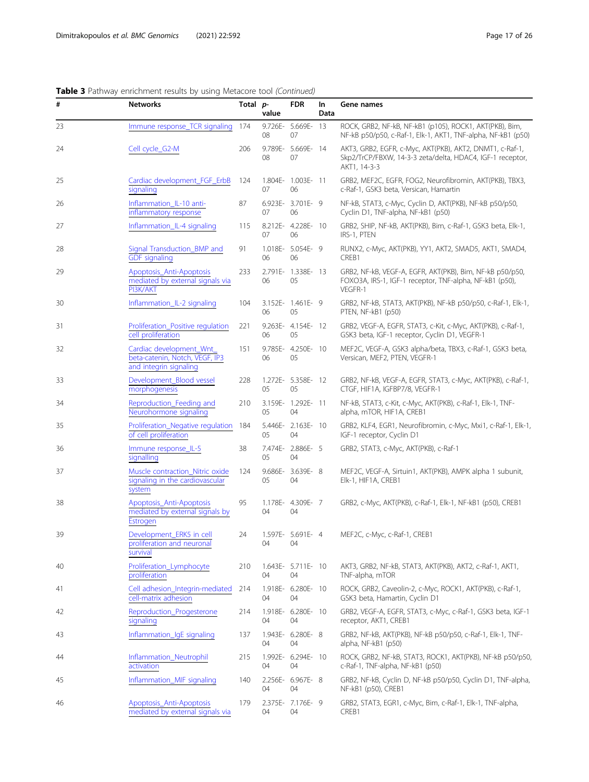Table 3 Pathway enrichment results by using Metacore tool (Continued)

| #  | <b>Networks</b>                                                                      | Total p- | value | <b>FDR</b>               | In<br>Data | Gene names                                                                                                                            |
|----|--------------------------------------------------------------------------------------|----------|-------|--------------------------|------------|---------------------------------------------------------------------------------------------------------------------------------------|
| 23 | Immune response_TCR signaling                                                        | 174      | 08    | 9.726E- 5.669E- 13<br>07 |            | ROCK, GRB2, NF-kB, NF-kB1 (p105), ROCK1, AKT(PKB), Bim,<br>NF-kB p50/p50, c-Raf-1, Elk-1, AKT1, TNF-alpha, NF-kB1 (p50)               |
| 24 | Cell cycle_G2-M                                                                      | 206      | 08    | 9.789E- 5.669E- 14<br>07 |            | AKT3, GRB2, EGFR, c-Myc, AKT(PKB), AKT2, DNMT1, c-Raf-1,<br>Skp2/TrCP/FBXW, 14-3-3 zeta/delta, HDAC4, IGF-1 receptor,<br>AKT1, 14-3-3 |
| 25 | Cardiac development_FGF_ErbB<br>signaling                                            | 124      | 07    | 1.804E- 1.003E- 11<br>06 |            | GRB2, MEF2C, EGFR, FOG2, Neurofibromin, AKT(PKB), TBX3,<br>c-Raf-1, GSK3 beta, Versican, Hamartin                                     |
| 26 | Inflammation_IL-10 anti-<br>inflammatory response                                    | 87       | 07    | 6.923E- 3.701E- 9<br>06  |            | NF-kB, STAT3, c-Myc, Cyclin D, AKT(PKB), NF-kB p50/p50,<br>Cyclin D1, TNF-alpha, NF-kB1 (p50)                                         |
| 27 | Inflammation_IL-4 signaling                                                          | 115      | 07    | 8.212E- 4.228E- 10<br>06 |            | GRB2, SHIP, NF-kB, AKT(PKB), Bim, c-Raf-1, GSK3 beta, Elk-1,<br>IRS-1, PTEN                                                           |
| 28 | Signal Transduction_BMP and<br><b>GDF</b> signaling                                  | 91       | 06    | 1.018E- 5.054E- 9<br>06  |            | RUNX2, c-Myc, AKT(PKB), YY1, AKT2, SMAD5, AKT1, SMAD4,<br>CREB1                                                                       |
| 29 | Apoptosis_Anti-Apoptosis<br>mediated by external signals via<br>PI3K/AKT             | 233      | 06    | 2.791E- 1.338E- 13<br>05 |            | GRB2, NF-kB, VEGF-A, EGFR, AKT(PKB), Bim, NF-kB p50/p50,<br>FOXO3A, IRS-1, IGF-1 receptor, TNF-alpha, NF-kB1 (p50),<br>VEGFR-1        |
| 30 | Inflammation_IL-2 signaling                                                          | 104      | 06    | 3.152E- 1.461E- 9<br>05  |            | GRB2, NF-kB, STAT3, AKT(PKB), NF-kB p50/p50, c-Raf-1, Elk-1,<br>PTEN, NF-kB1 (p50)                                                    |
| 31 | Proliferation_Positive regulation<br>cell proliferation                              | 221      | 06    | 9.263E- 4.154E- 12<br>05 |            | GRB2, VEGF-A, EGFR, STAT3, c-Kit, c-Myc, AKT(PKB), c-Raf-1,<br>GSK3 beta, IGF-1 receptor, Cyclin D1, VEGFR-1                          |
| 32 | Cardiac development_Wnt_<br>beta-catenin, Notch, VEGF, IP3<br>and integrin signaling | 151      | 06    | 9.785E- 4.250E- 10<br>05 |            | MEF2C, VEGF-A, GSK3 alpha/beta, TBX3, c-Raf-1, GSK3 beta,<br>Versican, MEF2, PTEN, VEGFR-1                                            |
| 33 | Development_Blood vessel<br>morphogenesis                                            | 228      | 05    | 1.272E- 5.358E- 12<br>05 |            | GRB2, NF-kB, VEGF-A, EGFR, STAT3, c-Myc, AKT(PKB), c-Raf-1,<br>CTGF, HIF1A, IGFBP7/8, VEGFR-1                                         |
| 34 | Reproduction_Feeding and<br>Neurohormone signaling                                   | 210      | 05    | 3.159E- 1.292E- 11<br>04 |            | NF-kB, STAT3, c-Kit, c-Myc, AKT(PKB), c-Raf-1, Elk-1, TNF-<br>alpha, mTOR, HIF1A, CREB1                                               |
| 35 | Proliferation_Negative regulation<br>of cell proliferation                           | 184      | 05    | 5.446E- 2.163E- 10<br>04 |            | GRB2, KLF4, EGR1, Neurofibromin, c-Myc, Mxi1, c-Raf-1, Elk-1,<br>IGF-1 receptor, Cyclin D1                                            |
| 36 | Immune response_IL-5<br>signalling                                                   | 38       | 05    | 7.474E- 2.886E- 5<br>04  |            | GRB2, STAT3, c-Myc, AKT(PKB), c-Raf-1                                                                                                 |
| 37 | Muscle contraction_Nitric oxide<br>signaling in the cardiovascular<br>system         | 124      | 05    | 9.686E- 3.639E- 8<br>04  |            | MEF2C, VEGF-A, Sirtuin1, AKT(PKB), AMPK alpha 1 subunit,<br>Elk-1, HIF1A, CREB1                                                       |
| 38 | Apoptosis_Anti-Apoptosis<br>mediated by external signals by<br>Estrogen              | 95       | 04    | 1.178E- 4.309E- 7<br>04  |            | GRB2, c-Myc, AKT(PKB), c-Raf-1, Elk-1, NF-kB1 (p50), CREB1                                                                            |
| 39 | Development_ERK5 in cell<br>proliferation and neuronal<br>survival                   | 24       | 04    | 1.597E- 5.691E- 4<br>04  |            | MEF2C, c-Myc, c-Raf-1, CREB1                                                                                                          |
| 40 | Proliferation_Lymphocyte<br>proliferation                                            | 210      | 04    | 1.643E- 5.711E- 10<br>04 |            | AKT3, GRB2, NF-kB, STAT3, AKT(PKB), AKT2, c-Raf-1, AKT1,<br>TNF-alpha, mTOR                                                           |
| 41 | Cell adhesion_Integrin-mediated<br>cell-matrix adhesion                              | 214      | 04    | 1.918E- 6.280E- 10<br>04 |            | ROCK, GRB2, Caveolin-2, c-Myc, ROCK1, AKT(PKB), c-Raf-1,<br>GSK3 beta, Hamartin, Cyclin D1                                            |
| 42 | Reproduction_Progesterone<br>signaling                                               | 214      | 04    | 1.918E- 6.280E- 10<br>04 |            | GRB2, VEGF-A, EGFR, STAT3, c-Myc, c-Raf-1, GSK3 beta, IGF-1<br>receptor, AKT1, CREB1                                                  |
| 43 | Inflammation_IgE signaling                                                           | 137      | 04    | 1.943E- 6.280E- 8<br>04  |            | GRB2, NF-kB, AKT(PKB), NF-kB p50/p50, c-Raf-1, Elk-1, TNF-<br>alpha, NF-kB1 (p50)                                                     |
| 44 | Inflammation_Neutrophil<br>activation                                                | 215      | 04    | 1.992E- 6.294E- 10<br>04 |            | ROCK, GRB2, NF-kB, STAT3, ROCK1, AKT(PKB), NF-kB p50/p50,<br>c-Raf-1, TNF-alpha, NF-kB1 (p50)                                         |
| 45 | Inflammation_MIF signaling                                                           | 140      | 04    | 2.256E- 6.967E- 8<br>04  |            | GRB2, NF-kB, Cyclin D, NF-kB p50/p50, Cyclin D1, TNF-alpha,<br>NF-kB1 (p50), CREB1                                                    |
| 46 | Apoptosis_Anti-Apoptosis<br>mediated by external signals via                         | 179      | 04    | 2.375E- 7.176E- 9<br>04  |            | GRB2, STAT3, EGR1, c-Myc, Bim, c-Raf-1, Elk-1, TNF-alpha,<br>CREB1                                                                    |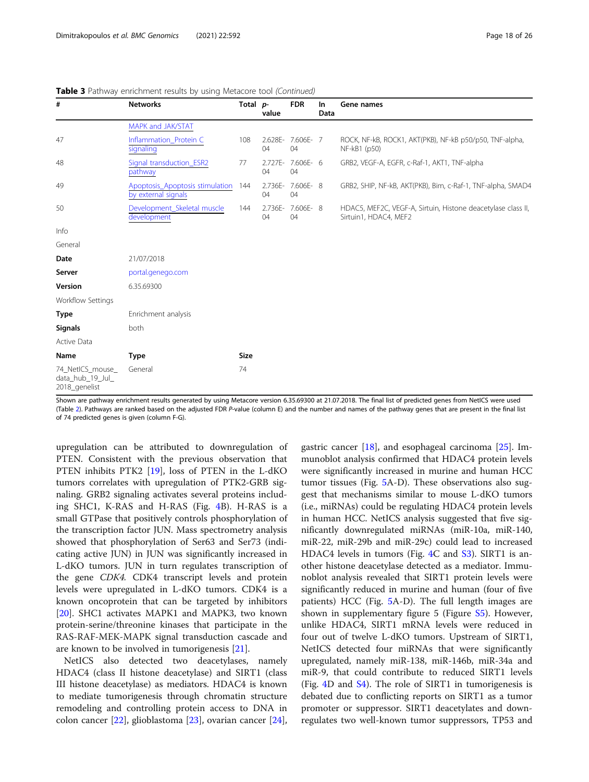| #                                                     | <b>Networks</b>                                        | Total p-    | value           | <b>FDR</b>      | In<br>Data | Gene names                                                                            |
|-------------------------------------------------------|--------------------------------------------------------|-------------|-----------------|-----------------|------------|---------------------------------------------------------------------------------------|
|                                                       | MAPK and JAK/STAT                                      |             |                 |                 |            |                                                                                       |
| 47                                                    | Inflammation_Protein C<br>signaling                    | 108         | 2.628E-<br>04   | 7.606E-7<br>04  |            | ROCK, NF-kB, ROCK1, AKT(PKB), NF-kB p50/p50, TNF-alpha,<br>NF-kB1 (p50)               |
| 48                                                    | Signal transduction_ESR2<br>pathway                    | 77          | $2.727E-$<br>04 | 7.606E- 6<br>04 |            | GRB2, VEGF-A, EGFR, c-Raf-1, AKT1, TNF-alpha                                          |
| 49                                                    | Apoptosis_Apoptosis stimulation<br>by external signals | 144         | 2.736E-<br>04   | 7.606E-8<br>04  |            | GRB2, SHIP, NF-kB, AKT(PKB), Bim, c-Raf-1, TNF-alpha, SMAD4                           |
| 50                                                    | Development_Skeletal muscle<br>development             | 144         | 2.736E-<br>04   | 7.606E-8<br>04  |            | HDAC5, MEF2C, VEGF-A, Sirtuin, Histone deacetylase class II,<br>Sirtuin1, HDAC4, MEF2 |
| Info                                                  |                                                        |             |                 |                 |            |                                                                                       |
| General                                               |                                                        |             |                 |                 |            |                                                                                       |
| Date                                                  | 21/07/2018                                             |             |                 |                 |            |                                                                                       |
| Server                                                | portal.genego.com                                      |             |                 |                 |            |                                                                                       |
| Version                                               | 6.35.69300                                             |             |                 |                 |            |                                                                                       |
| Workflow Settings                                     |                                                        |             |                 |                 |            |                                                                                       |
| <b>Type</b>                                           | Enrichment analysis                                    |             |                 |                 |            |                                                                                       |
| <b>Signals</b>                                        | both                                                   |             |                 |                 |            |                                                                                       |
| Active Data                                           |                                                        |             |                 |                 |            |                                                                                       |
| Name                                                  | <b>Type</b>                                            | <b>Size</b> |                 |                 |            |                                                                                       |
| 74_NetICS_mouse_<br>data_hub_19_Jul_<br>2018_genelist | General                                                | 74          |                 |                 |            |                                                                                       |

Table 3 Pathway enrichment results by using Metacore tool (Continued)

Shown are pathway enrichment results generated by using Metacore version 6.35.69300 at 21.07.2018. The final list of predicted genes from NetICS were used (Table [2](#page-9-0)). Pathways are ranked based on the adjusted FDR P-value (column E) and the number and names of the pathway genes that are present in the final list of 74 predicted genes is given (column F-G).

upregulation can be attributed to downregulation of PTEN. Consistent with the previous observation that PTEN inhibits PTK2 [[19\]](#page-25-0), loss of PTEN in the L-dKO tumors correlates with upregulation of PTK2-GRB signaling. GRB2 signaling activates several proteins including SHC1, K-RAS and H-RAS (Fig. [4](#page-18-0)B). H-RAS is a small GTPase that positively controls phosphorylation of the transcription factor JUN. Mass spectrometry analysis showed that phosphorylation of Ser63 and Ser73 (indicating active JUN) in JUN was significantly increased in L-dKO tumors. JUN in turn regulates transcription of the gene CDK4. CDK4 transcript levels and protein levels were upregulated in L-dKO tumors. CDK4 is a known oncoprotein that can be targeted by inhibitors [[20\]](#page-25-0). SHC1 activates MAPK1 and MAPK3, two known protein-serine/threonine kinases that participate in the RAS-RAF-MEK-MAPK signal transduction cascade and are known to be involved in tumorigenesis [[21\]](#page-25-0).

NetICS also detected two deacetylases, namely HDAC4 (class II histone deacetylase) and SIRT1 (class III histone deacetylase) as mediators. HDAC4 is known to mediate tumorigenesis through chromatin structure remodeling and controlling protein access to DNA in colon cancer [\[22](#page-25-0)], glioblastoma [\[23](#page-25-0)], ovarian cancer [\[24](#page-25-0)],

gastric cancer  $[18]$  $[18]$ , and esophageal carcinoma  $[25]$  $[25]$  $[25]$ . Immunoblot analysis confirmed that HDAC4 protein levels were significantly increased in murine and human HCC tumor tissues (Fig. [5](#page-19-0)A-D). These observations also suggest that mechanisms similar to mouse L-dKO tumors (i.e., miRNAs) could be regulating HDAC4 protein levels in human HCC. NetICS analysis suggested that five significantly downregulated miRNAs (miR-10a, miR-140, miR-22, miR-29b and miR-29c) could lead to increased HDAC[4](#page-18-0) levels in tumors (Fig. 4C and [S3\)](#page-24-0). SIRT1 is another histone deacetylase detected as a mediator. Immunoblot analysis revealed that SIRT1 protein levels were significantly reduced in murine and human (four of five patients) HCC (Fig. [5](#page-19-0)A-D). The full length images are shown in supplementary figure 5 (Figure [S5\)](#page-24-0). However, unlike HDAC4, SIRT1 mRNA levels were reduced in four out of twelve L-dKO tumors. Upstream of SIRT1, NetICS detected four miRNAs that were significantly upregulated, namely miR-138, miR-146b, miR-34a and miR-9, that could contribute to reduced SIRT1 levels (Fig. [4D](#page-18-0) and [S4](#page-24-0)). The role of SIRT1 in tumorigenesis is debated due to conflicting reports on SIRT1 as a tumor promoter or suppressor. SIRT1 deacetylates and downregulates two well-known tumor suppressors, TP53 and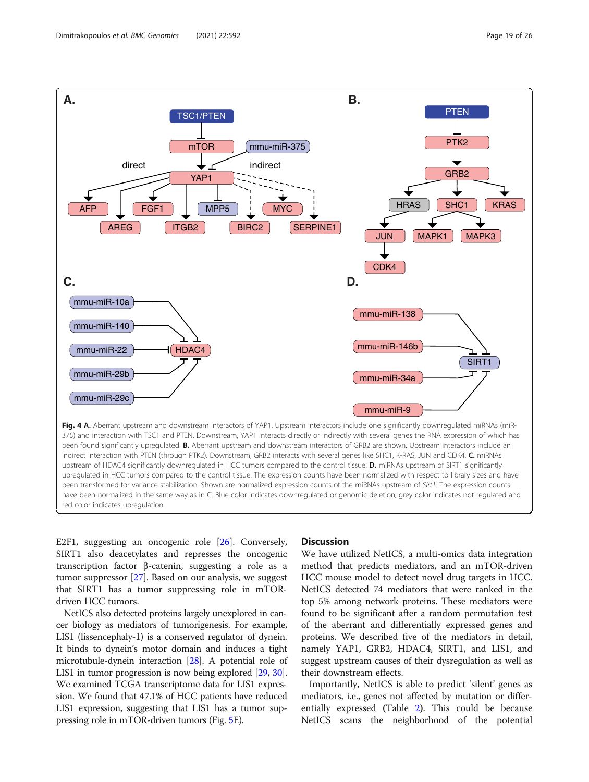<span id="page-18-0"></span>

E2F1, suggesting an oncogenic role [\[26](#page-25-0)]. Conversely, SIRT1 also deacetylates and represses the oncogenic transcription factor β-catenin, suggesting a role as a tumor suppressor [\[27\]](#page-25-0). Based on our analysis, we suggest that SIRT1 has a tumor suppressing role in mTOR-

driven HCC tumors. NetICS also detected proteins largely unexplored in cancer biology as mediators of tumorigenesis. For example, LIS1 (lissencephaly-1) is a conserved regulator of dynein. It binds to dynein's motor domain and induces a tight microtubule-dynein interaction [[28](#page-25-0)]. A potential role of LIS1 in tumor progression is now being explored [\[29,](#page-25-0) [30](#page-25-0)]. We examined TCGA transcriptome data for LIS1 expression. We found that 47.1% of HCC patients have reduced LIS1 expression, suggesting that LIS1 has a tumor suppressing role in mTOR-driven tumors (Fig. [5](#page-19-0)E).

#### **Discussion**

We have utilized NetICS, a multi-omics data integration method that predicts mediators, and an mTOR-driven HCC mouse model to detect novel drug targets in HCC. NetICS detected 74 mediators that were ranked in the top 5% among network proteins. These mediators were found to be significant after a random permutation test of the aberrant and differentially expressed genes and proteins. We described five of the mediators in detail, namely YAP1, GRB2, HDAC4, SIRT1, and LIS1, and suggest upstream causes of their dysregulation as well as their downstream effects.

Importantly, NetICS is able to predict 'silent' genes as mediators, i.e., genes not affected by mutation or differentially expressed (Table [2](#page-9-0)). This could be because NetICS scans the neighborhood of the potential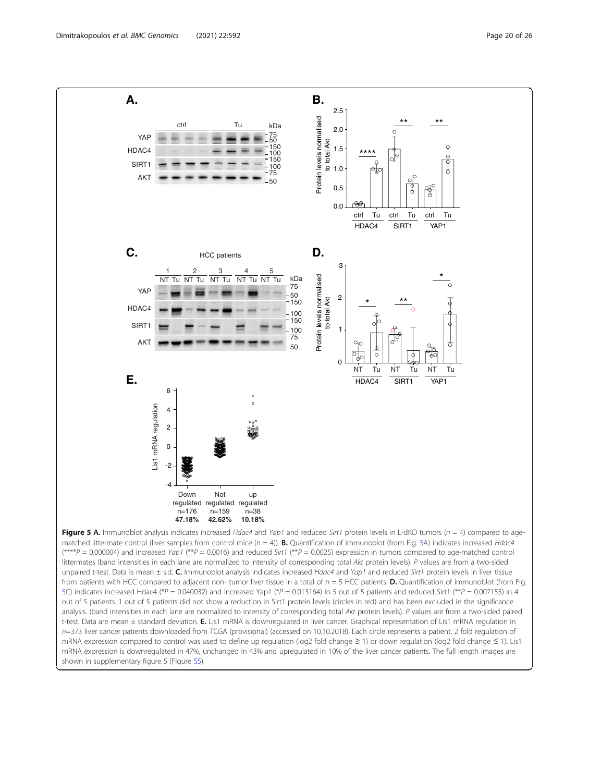<span id="page-19-0"></span>

 $(***P = 0.000004)$  and increased Yap1 (\*\*P = 0.0016) and reduced Sirt1 (\*\*P = 0.0025) expression in tumors compared to age-matched control littermates (band intensities in each lane are normalized to intensity of corresponding total Akt protein levels). P values are from a two-sided unpaired t-test. Data is mean  $\pm$  s.d. C. Immunoblot analysis indicates increased Hdac4 and Yap1 and reduced Sirt1 protein levels in liver tissue from patients with HCC compared to adjacent non- tumor liver tissue in a total of  $n = 5$  HCC patients. **D.** Quantification of immunoblot (from Fig. 5C) indicates increased Hdac4 (\*P = 0.040032) and increased Yap1 (\*P = 0.013164) in 5 out of 5 patients and reduced Sirt1 (\*\*P = 0.007155) in 4 out of 5 patients. 1 out of 5 patients did not show a reduction in Sirt1 protein levels (circles in red) and has been excluded in the significance analysis. (band intensities in each lane are normalized to intensity of corresponding total Akt protein levels). P values are from a two-sided paired t-test. Data are mean ± standard deviation. E. Lis1 mRNA is downregulated in liver cancer. Graphical representation of Lis1 mRNA regulation in n=373 liver cancer patients downloaded from TCGA (provisional) (accessed on 10.10.2018). Each circle represents a patient. 2 fold regulation of mRNA expression compared to control was used to define up regulation (log2 fold change ≥ 1) or down regulation (log2 fold change ≤ 1). Lis1 mRNA expression is downregulated in 47%, unchanged in 43% and upregulated in 10% of the liver cancer patients. The full length images are shown in supplementary figure 5 (Figure [S5\)](#page-24-0)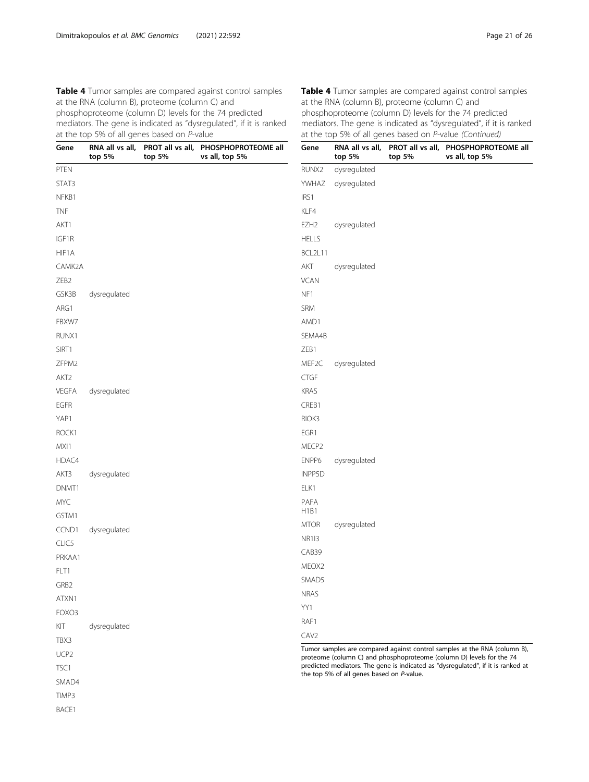<span id="page-20-0"></span>Table 4 Tumor samples are compared against control samples at the RNA (column B), proteome (column C) and phosphoproteome (column D) levels for the 74 predicted mediators. The gene is indicated as "dysregulated", if it is ranked at the top 5% of all genes based on P-value

| Gene                     | top 5%       | top 5% | RNA all vs all, PROT all vs all, PHOSPHOPROTEOME all<br>vs all, top 5% | Gene               | RNA all vs<br>top 5%                            |
|--------------------------|--------------|--------|------------------------------------------------------------------------|--------------------|-------------------------------------------------|
| <b>PTEN</b>              |              |        |                                                                        | RUNX2              | dysregulat                                      |
| STAT3                    |              |        |                                                                        | <b>YWHAZ</b>       | dysregulat                                      |
| NFKB1                    |              |        |                                                                        | IRS1               |                                                 |
| <b>TNF</b>               |              |        |                                                                        | KLF4               |                                                 |
| AKT1                     |              |        |                                                                        | EZH <sub>2</sub>   | dysregulat                                      |
| IGF1R                    |              |        |                                                                        | <b>HELLS</b>       |                                                 |
| HIF1A                    |              |        |                                                                        | BCL2L11            |                                                 |
| CAMK2A                   |              |        |                                                                        | AKT                | dysregulat                                      |
| ZEB <sub>2</sub>         |              |        |                                                                        | <b>VCAN</b>        |                                                 |
| GSK3B                    | dysregulated |        |                                                                        | NF1                |                                                 |
| ARG1                     |              |        |                                                                        | <b>SRM</b>         |                                                 |
| FBXW7                    |              |        |                                                                        | AMD1               |                                                 |
| RUNX1                    |              |        |                                                                        | SEMA4B             |                                                 |
| SIRT1                    |              |        |                                                                        | ZEB1               |                                                 |
| ZFPM2                    |              |        |                                                                        | MEF <sub>2</sub> C | dysregulat                                      |
| AKT <sub>2</sub>         |              |        |                                                                        | <b>CTGF</b>        |                                                 |
| VEGFA                    | dysregulated |        |                                                                        | <b>KRAS</b>        |                                                 |
| EGFR                     |              |        |                                                                        | CREB1              |                                                 |
| YAP1                     |              |        |                                                                        | RIOK3              |                                                 |
| ROCK1                    |              |        |                                                                        | EGR1               |                                                 |
| MXI1                     |              |        |                                                                        | MECP <sub>2</sub>  |                                                 |
| HDAC4                    |              |        |                                                                        | ENPP6              | dysregulat                                      |
| AKT3                     | dysregulated |        |                                                                        | INPP5D             |                                                 |
| DNMT1                    |              |        |                                                                        | ELK1               |                                                 |
| <b>MYC</b><br>GSTM1      |              |        |                                                                        | PAFA<br>H1B1       |                                                 |
| CCND1                    | dysregulated |        |                                                                        | <b>MTOR</b>        | dysregulat                                      |
| CLIC5                    |              |        |                                                                        | <b>NR113</b>       |                                                 |
| PRKAA1                   |              |        |                                                                        | CAB39              |                                                 |
| FLT1                     |              |        |                                                                        | MEOX <sub>2</sub>  |                                                 |
| GRB <sub>2</sub>         |              |        |                                                                        | SMAD5              |                                                 |
| ATXN1                    |              |        |                                                                        | <b>NRAS</b>        |                                                 |
| FOXO3                    |              |        |                                                                        | YY1                |                                                 |
| KIT                      |              |        |                                                                        | RAF1               |                                                 |
| TBX3                     | dysregulated |        |                                                                        | CAV <sub>2</sub>   |                                                 |
|                          |              |        |                                                                        |                    | Tumor samples are cor                           |
| UCP <sub>2</sub><br>TSC1 |              |        |                                                                        |                    | proteome (column C) a<br>predicted mediators. T |
| SMAD4                    |              |        |                                                                        |                    | the top 5% of all gene                          |
| TIMP3                    |              |        |                                                                        |                    |                                                 |
|                          |              |        |                                                                        |                    |                                                 |

BACE1

Table 4 Tumor samples are compared against control samples at the RNA (column B), proteome (column C) and phosphoproteome (column D) levels for the 74 predicted mediators. The gene is indicated as "dysregulated", if it is ranked at the top 5% of all genes based on P-value (Continued)

| Gene             | top 5%             | top 5% | RNA all vs all, PROT all vs all, PHOSPHOPROTEOME all<br>vs all, top 5%    |
|------------------|--------------------|--------|---------------------------------------------------------------------------|
|                  | RUNX2 dysregulated |        |                                                                           |
|                  | YWHAZ dysregulated |        |                                                                           |
| IRS1             |                    |        |                                                                           |
| KLF4             |                    |        |                                                                           |
| EZH2             | dysregulated       |        |                                                                           |
| <b>HELLS</b>     |                    |        |                                                                           |
| BCL2L11          |                    |        |                                                                           |
| АКТ              | dysregulated       |        |                                                                           |
| <b>VCAN</b>      |                    |        |                                                                           |
| NF1              |                    |        |                                                                           |
| <b>SRM</b>       |                    |        |                                                                           |
| AMD1             |                    |        |                                                                           |
| SEMA4B           |                    |        |                                                                           |
| ZEB1             |                    |        |                                                                           |
|                  | MEF2C dysregulated |        |                                                                           |
| <b>CTGF</b>      |                    |        |                                                                           |
| KRAS             |                    |        |                                                                           |
| CREB1            |                    |        |                                                                           |
| RIOK3            |                    |        |                                                                           |
| EGR1             |                    |        |                                                                           |
| MECP2            |                    |        |                                                                           |
| ENPP6            | dysregulated       |        |                                                                           |
| INPP5D           |                    |        |                                                                           |
| ELK1             |                    |        |                                                                           |
| PAFA<br>H1B1     |                    |        |                                                                           |
|                  | MTOR dysregulated  |        |                                                                           |
| <b>NR113</b>     |                    |        |                                                                           |
| CAB39            |                    |        |                                                                           |
| MEOX2            |                    |        |                                                                           |
| SMAD5            |                    |        |                                                                           |
| <b>NRAS</b>      |                    |        |                                                                           |
| YY1              |                    |        |                                                                           |
| RAF1             |                    |        |                                                                           |
| CAV <sub>2</sub> |                    |        |                                                                           |
|                  |                    |        | Tumor samples are compared against control samples at the RNA (column B). |

Tumor samples are compared against control samples at the RNA (column B), proteome (column C) and phosphoproteome (column D) levels for the 74 The gene is indicated as "dysregulated", if it is ranked at es based on P-value.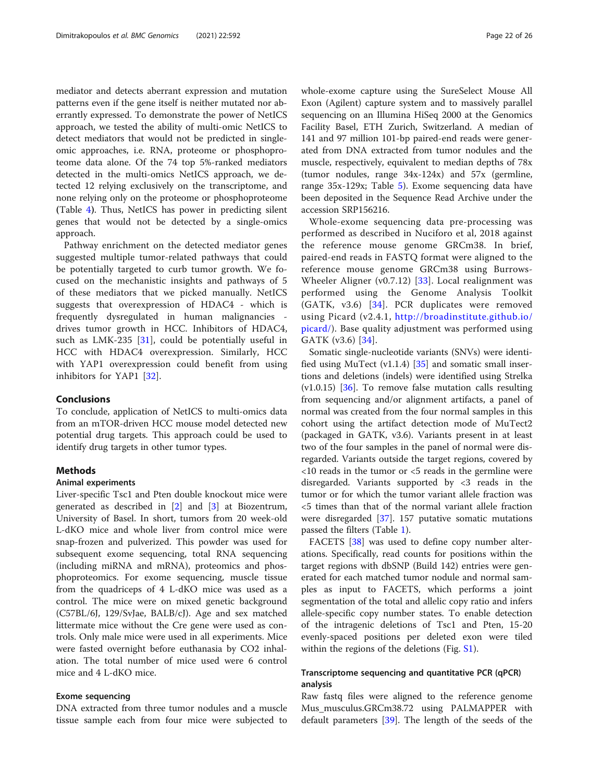mediator and detects aberrant expression and mutation patterns even if the gene itself is neither mutated nor aberrantly expressed. To demonstrate the power of NetICS approach, we tested the ability of multi-omic NetICS to detect mediators that would not be predicted in singleomic approaches, i.e. RNA, proteome or phosphoproteome data alone. Of the 74 top 5%-ranked mediators detected in the multi-omics NetICS approach, we detected 12 relying exclusively on the transcriptome, and none relying only on the proteome or phosphoproteome (Table [4](#page-20-0)). Thus, NetICS has power in predicting silent genes that would not be detected by a single-omics approach.

Pathway enrichment on the detected mediator genes suggested multiple tumor-related pathways that could be potentially targeted to curb tumor growth. We focused on the mechanistic insights and pathways of 5 of these mediators that we picked manually. NetICS suggests that overexpression of HDAC4 - which is frequently dysregulated in human malignancies drives tumor growth in HCC. Inhibitors of HDAC4, such as LMK-235  $[31]$  $[31]$ , could be potentially useful in HCC with HDAC4 overexpression. Similarly, HCC with YAP1 overexpression could benefit from using inhibitors for YAP1 [[32\]](#page-25-0).

### Conclusions

To conclude, application of NetICS to multi-omics data from an mTOR-driven HCC mouse model detected new potential drug targets. This approach could be used to identify drug targets in other tumor types.

#### Methods

#### Animal experiments

Liver-specific Tsc1 and Pten double knockout mice were generated as described in [[2](#page-25-0)] and [[3\]](#page-25-0) at Biozentrum, University of Basel. In short, tumors from 20 week-old L-dKO mice and whole liver from control mice were snap-frozen and pulverized. This powder was used for subsequent exome sequencing, total RNA sequencing (including miRNA and mRNA), proteomics and phosphoproteomics. For exome sequencing, muscle tissue from the quadriceps of 4 L-dKO mice was used as a control. The mice were on mixed genetic background (C57BL/6J, 129/SvJae, BALB/cJ). Age and sex matched littermate mice without the Cre gene were used as controls. Only male mice were used in all experiments. Mice were fasted overnight before euthanasia by CO2 inhalation. The total number of mice used were 6 control mice and 4 L-dKO mice.

#### Exome sequencing

DNA extracted from three tumor nodules and a muscle tissue sample each from four mice were subjected to

whole-exome capture using the SureSelect Mouse All Exon (Agilent) capture system and to massively parallel sequencing on an Illumina HiSeq 2000 at the Genomics Facility Basel, ETH Zurich, Switzerland. A median of 141 and 97 million 101-bp paired-end reads were generated from DNA extracted from tumor nodules and the muscle, respectively, equivalent to median depths of 78x (tumor nodules, range 34x-124x) and 57x (germline, range 35x-129x; Table [5](#page-22-0)). Exome sequencing data have been deposited in the Sequence Read Archive under the accession SRP156216.

Whole-exome sequencing data pre-processing was performed as described in Nuciforo et al, 2018 against the reference mouse genome GRCm38. In brief, paired-end reads in FASTQ format were aligned to the reference mouse genome GRCm38 using Burrows-Wheeler Aligner (v0.7.12)  $[33]$  $[33]$ . Local realignment was performed using the Genome Analysis Toolkit (GATK, v3.6) [\[34\]](#page-25-0). PCR duplicates were removed using Picard (v2.4.1, [http://broadinstitute.github.io/](http://broadinstitute.github.io/picard/) [picard/](http://broadinstitute.github.io/picard/)). Base quality adjustment was performed using GATK (v3.6) [[34](#page-25-0)].

Somatic single-nucleotide variants (SNVs) were identified using MuTect  $(v1.1.4)$  [[35\]](#page-25-0) and somatic small insertions and deletions (indels) were identified using Strelka  $(v1.0.15)$  [[36\]](#page-25-0). To remove false mutation calls resulting from sequencing and/or alignment artifacts, a panel of normal was created from the four normal samples in this cohort using the artifact detection mode of MuTect2 (packaged in GATK, v3.6). Variants present in at least two of the four samples in the panel of normal were disregarded. Variants outside the target regions, covered by  $\langle$ 10 reads in the tumor or  $\langle$ 5 reads in the germline were disregarded. Variants supported by <3 reads in the tumor or for which the tumor variant allele fraction was <5 times than that of the normal variant allele fraction were disregarded [\[37\]](#page-25-0). 157 putative somatic mutations passed the filters (Table [1](#page-2-0)).

FACETS [[38\]](#page-25-0) was used to define copy number alterations. Specifically, read counts for positions within the target regions with dbSNP (Build 142) entries were generated for each matched tumor nodule and normal samples as input to FACETS, which performs a joint segmentation of the total and allelic copy ratio and infers allele-specific copy number states. To enable detection of the intragenic deletions of Tsc1 and Pten, 15-20 evenly-spaced positions per deleted exon were tiled within the regions of the deletions (Fig. [S1\)](#page-24-0).

# Transcriptome sequencing and quantitative PCR (qPCR) analysis

Raw fastq files were aligned to the reference genome Mus\_musculus.GRCm38.72 using PALMAPPER with default parameters [\[39](#page-25-0)]. The length of the seeds of the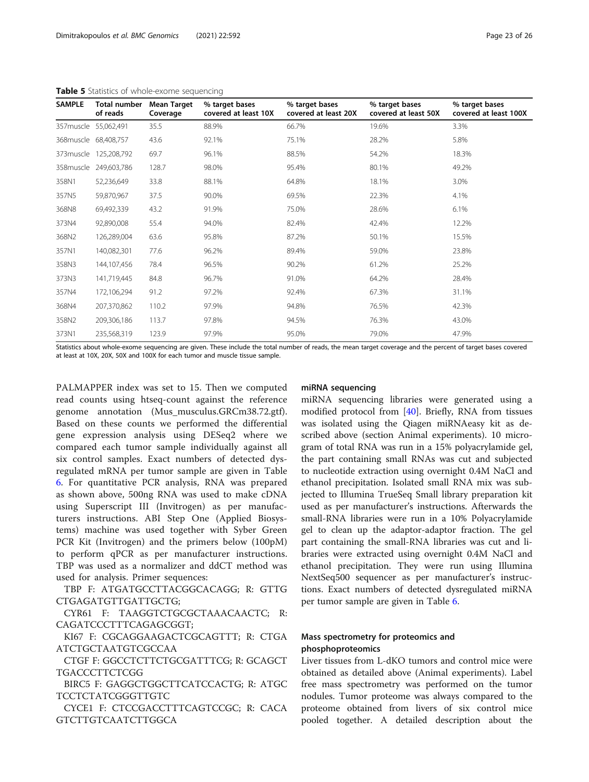| <b>SAMPLE</b>        | Total number<br>of reads | <b>Mean Target</b><br>Coverage | % target bases<br>covered at least 10X | % target bases<br>covered at least 20X | % target bases<br>covered at least 50X | % target bases<br>covered at least 100X |
|----------------------|--------------------------|--------------------------------|----------------------------------------|----------------------------------------|----------------------------------------|-----------------------------------------|
| 357muscle 55,062,491 |                          | 35.5                           | 88.9%                                  | 66.7%                                  | 19.6%                                  | 3.3%                                    |
| 368muscle            | 68,408,757               | 43.6                           | 92.1%                                  | 75.1%                                  | 28.2%                                  | 5.8%                                    |
| 373 muscle           | 125,208,792              | 69.7                           | 96.1%                                  | 88.5%                                  | 54.2%                                  | 18.3%                                   |
|                      | 358muscle 249,603,786    | 128.7                          | 98.0%                                  | 95.4%                                  | 80.1%                                  | 49.2%                                   |
| 358N1                | 52,236,649               | 33.8                           | 88.1%                                  | 64.8%                                  | 18.1%                                  | 3.0%                                    |
| 357N5                | 59,870,967               | 37.5                           | 90.0%                                  | 69.5%                                  | 22.3%                                  | 4.1%                                    |
| 368N8                | 69,492,339               | 43.2                           | 91.9%                                  | 75.0%                                  | 28.6%                                  | 6.1%                                    |
| 373N4                | 92,890,008               | 55.4                           | 94.0%                                  | 82.4%                                  | 42.4%                                  | 12.2%                                   |
| 368N2                | 126,289,004              | 63.6                           | 95.8%                                  | 87.2%                                  | 50.1%                                  | 15.5%                                   |
| 357N1                | 140,082,301              | 77.6                           | 96.2%                                  | 89.4%                                  | 59.0%                                  | 23.8%                                   |
| 358N3                | 144,107,456              | 78.4                           | 96.5%                                  | 90.2%                                  | 61.2%                                  | 25.2%                                   |
| 373N3                | 141,719,445              | 84.8                           | 96.7%                                  | 91.0%                                  | 64.2%                                  | 28.4%                                   |
| 357N4                | 172,106,294              | 91.2                           | 97.2%                                  | 92.4%                                  | 67.3%                                  | 31.1%                                   |
| 368N4                | 207,370,862              | 110.2                          | 97.9%                                  | 94.8%                                  | 76.5%                                  | 42.3%                                   |
| 358N2                | 209,306,186              | 113.7                          | 97.8%                                  | 94.5%                                  | 76.3%                                  | 43.0%                                   |
| 373N1                | 235,568,319              | 123.9                          | 97.9%                                  | 95.0%                                  | 79.0%                                  | 47.9%                                   |

#### <span id="page-22-0"></span>Table 5 Statistics of whole-exome sequencing

Statistics about whole-exome sequencing are given. These include the total number of reads, the mean target coverage and the percent of target bases covered at least at 10X, 20X, 50X and 100X for each tumor and muscle tissue sample.

PALMAPPER index was set to 15. Then we computed read counts using htseq-count against the reference genome annotation (Mus\_musculus.GRCm38.72.gtf). Based on these counts we performed the differential gene expression analysis using DESeq2 where we compared each tumor sample individually against all six control samples. Exact numbers of detected dysregulated mRNA per tumor sample are given in Table [6.](#page-23-0) For quantitative PCR analysis, RNA was prepared as shown above, 500ng RNA was used to make cDNA using Superscript III (Invitrogen) as per manufacturers instructions. ABI Step One (Applied Biosystems) machine was used together with Syber Green PCR Kit (Invitrogen) and the primers below (100pM) to perform qPCR as per manufacturer instructions. TBP was used as a normalizer and ddCT method was used for analysis. Primer sequences:

TBP F: ATGATGCCTTACGGCACAGG; R: GTTG CTGAGATGTTGATTGCTG;

CYR61 F: TAAGGTCTGCGCTAAACAACTC; R: CAGATCCCTTTCAGAGCGGT;

KI67 F: CGCAGGAAGACTCGCAGTTT; R: CTGA ATCTGCTAATGTCGCCAA

CTGF F: GGCCTCTTCTGCGATTTCG; R: GCAGCT TGACCCTTCTCGG

BIRC5 F: GAGGCTGGCTTCATCCACTG; R: ATGC TCCTCTATCGGGTTGTC

CYCE1 F: CTCCGACCTTTCAGTCCGC; R: CACA GTCTTGTCAATCTTGGCA

### miRNA sequencing

miRNA sequencing libraries were generated using a modified protocol from [[40\]](#page-25-0). Briefly, RNA from tissues was isolated using the Qiagen miRNAeasy kit as described above (section Animal experiments). 10 microgram of total RNA was run in a 15% polyacrylamide gel, the part containing small RNAs was cut and subjected to nucleotide extraction using overnight 0.4M NaCl and ethanol precipitation. Isolated small RNA mix was subjected to Illumina TrueSeq Small library preparation kit used as per manufacturer's instructions. Afterwards the small-RNA libraries were run in a 10% Polyacrylamide gel to clean up the adaptor-adaptor fraction. The gel part containing the small-RNA libraries was cut and libraries were extracted using overnight 0.4M NaCl and ethanol precipitation. They were run using Illumina NextSeq500 sequencer as per manufacturer's instructions. Exact numbers of detected dysregulated miRNA per tumor sample are given in Table [6.](#page-23-0)

## Mass spectrometry for proteomics and phosphoproteomics

Liver tissues from L-dKO tumors and control mice were obtained as detailed above (Animal experiments). Label free mass spectrometry was performed on the tumor nodules. Tumor proteome was always compared to the proteome obtained from livers of six control mice pooled together. A detailed description about the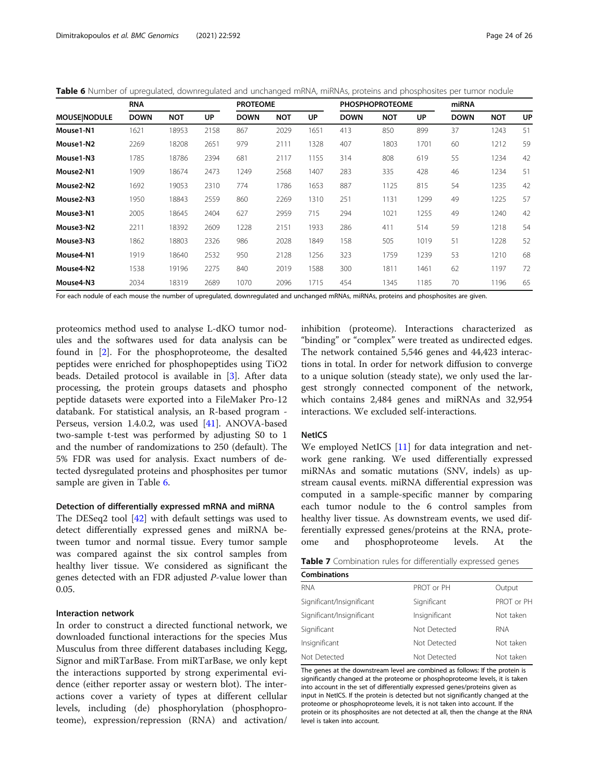<span id="page-23-0"></span>Table 6 Number of upregulated, downregulated and unchanged mRNA, miRNAs, proteins and phosphosites per tumor nodule

|                        | <b>RNA</b>  |            |           | <b>PROTEOME</b> |            |           |             | <b>PHOSPHOPROTEOME</b> |      | miRNA       |            |    |
|------------------------|-------------|------------|-----------|-----------------|------------|-----------|-------------|------------------------|------|-------------|------------|----|
| <b>MOUSE NODULE</b>    | <b>DOWN</b> | <b>NOT</b> | <b>UP</b> | <b>DOWN</b>     | <b>NOT</b> | <b>UP</b> | <b>DOWN</b> | <b>NOT</b>             | UP   | <b>DOWN</b> | <b>NOT</b> | UP |
| Mouse1-N1              | 1621        | 18953      | 2158      | 867             | 2029       | 1651      | 413         | 850                    | 899  | 37          | 1243       | 51 |
| Mouse1-N2              | 2269        | 18208      | 2651      | 979             | 2111       | 1328      | 407         | 1803                   | 1701 | 60          | 1212       | 59 |
| Mouse1-N3              | 1785        | 18786      | 2394      | 681             | 2117       | 1155      | 314         | 808                    | 619  | 55          | 1234       | 42 |
| Mouse <sub>2</sub> -N1 | 1909        | 18674      | 2473      | 1249            | 2568       | 1407      | 283         | 335                    | 428  | 46          | 1234       | 51 |
| Mouse2-N2              | 1692        | 19053      | 2310      | 774             | 1786       | 1653      | 887         | 1125                   | 815  | 54          | 1235       | 42 |
| Mouse2-N3              | 1950        | 18843      | 2559      | 860             | 2269       | 1310      | 251         | 1131                   | 1299 | 49          | 1225       | 57 |
| Mouse3-N1              | 2005        | 18645      | 2404      | 627             | 2959       | 715       | 294         | 1021                   | 1255 | 49          | 1240       | 42 |
| Mouse3-N2              | 2211        | 18392      | 2609      | 1228            | 2151       | 1933      | 286         | 411                    | 514  | 59          | 1218       | 54 |
| Mouse3-N3              | 1862        | 18803      | 2326      | 986             | 2028       | 1849      | 158         | 505                    | 1019 | 51          | 1228       | 52 |
| Mouse4-N1              | 1919        | 18640      | 2532      | 950             | 2128       | 1256      | 323         | 1759                   | 1239 | 53          | 1210       | 68 |
| Mouse4-N2              | 1538        | 19196      | 2275      | 840             | 2019       | 1588      | 300         | 1811                   | 1461 | 62          | 1197       | 72 |
| Mouse4-N3              | 2034        | 18319      | 2689      | 1070            | 2096       | 1715      | 454         | 1345                   | 1185 | 70          | 1196       | 65 |

For each nodule of each mouse the number of upregulated, downregulated and unchanged mRNAs, miRNAs, proteins and phosphosites are given.

proteomics method used to analyse L-dKO tumor nodules and the softwares used for data analysis can be found in [[2\]](#page-25-0). For the phosphoproteome, the desalted peptides were enriched for phosphopeptides using TiO2 beads. Detailed protocol is available in [\[3](#page-25-0)]. After data processing, the protein groups datasets and phospho peptide datasets were exported into a FileMaker Pro-12 databank. For statistical analysis, an R-based program - Perseus, version 1.4.0.2, was used [\[41](#page-25-0)]. ANOVA-based two-sample t-test was performed by adjusting S0 to 1 and the number of randomizations to 250 (default). The 5% FDR was used for analysis. Exact numbers of detected dysregulated proteins and phosphosites per tumor sample are given in Table 6.

#### Detection of differentially expressed mRNA and miRNA

The DESeq2 tool [[42\]](#page-25-0) with default settings was used to detect differentially expressed genes and miRNA between tumor and normal tissue. Every tumor sample was compared against the six control samples from healthy liver tissue. We considered as significant the genes detected with an FDR adjusted P-value lower than 0.05.

### Interaction network

In order to construct a directed functional network, we downloaded functional interactions for the species Mus Musculus from three different databases including Kegg, Signor and miRTarBase. From miRTarBase, we only kept the interactions supported by strong experimental evidence (either reporter assay or western blot). The interactions cover a variety of types at different cellular levels, including (de) phosphorylation (phosphoproteome), expression/repression (RNA) and activation/

inhibition (proteome). Interactions characterized as "binding" or "complex" were treated as undirected edges. The network contained 5,546 genes and 44,423 interactions in total. In order for network diffusion to converge to a unique solution (steady state), we only used the largest strongly connected component of the network, which contains 2,484 genes and miRNAs and 32,954 interactions. We excluded self-interactions.

#### NetICS

We employed NetICS [[11](#page-25-0)] for data integration and network gene ranking. We used differentially expressed miRNAs and somatic mutations (SNV, indels) as upstream causal events. miRNA differential expression was computed in a sample-specific manner by comparing each tumor nodule to the 6 control samples from healthy liver tissue. As downstream events, we used differentially expressed genes/proteins at the RNA, proteome and phosphoproteome levels. At the

| Table 7 Combination rules for differentially expressed genes |  |
|--------------------------------------------------------------|--|
|--------------------------------------------------------------|--|

| <b>Combinations</b>       |               |            |
|---------------------------|---------------|------------|
| <b>RNA</b>                | PROT or PH    | Output     |
| Significant/Insignificant | Significant   | PROT or PH |
| Significant/Insignificant | Insignificant | Not taken  |
| Significant               | Not Detected  | <b>RNA</b> |
| Insignificant             | Not Detected  | Not taken  |
| Not Detected              | Not Detected  | Not taken  |

The genes at the downstream level are combined as follows: If the protein is significantly changed at the proteome or phosphoproteome levels, it is taken into account in the set of differentially expressed genes/proteins given as input in NetICS. If the protein is detected but not significantly changed at the proteome or phosphoproteome levels, it is not taken into account. If the protein or its phosphosites are not detected at all, then the change at the RNA level is taken into account.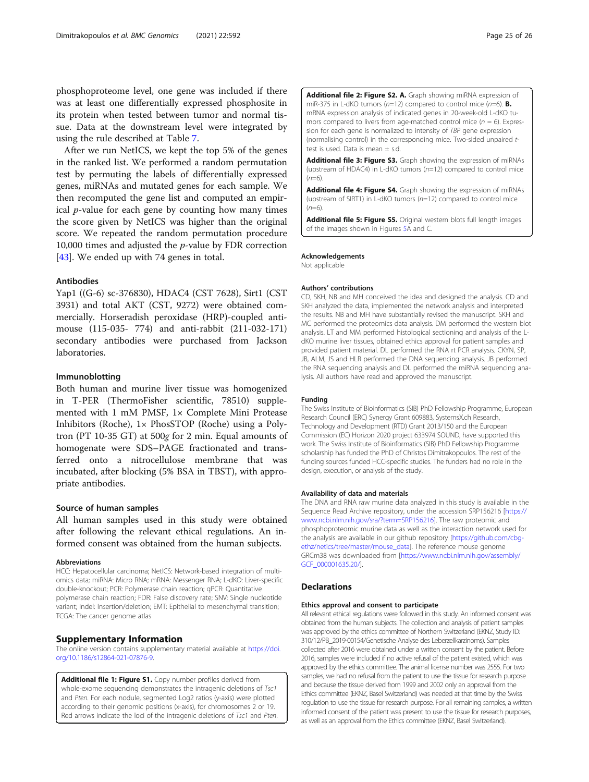<span id="page-24-0"></span>phosphoproteome level, one gene was included if there was at least one differentially expressed phosphosite in its protein when tested between tumor and normal tissue. Data at the downstream level were integrated by using the rule described at Table [7](#page-23-0).

After we run NetICS, we kept the top 5% of the genes in the ranked list. We performed a random permutation test by permuting the labels of differentially expressed genes, miRNAs and mutated genes for each sample. We then recomputed the gene list and computed an empirical  $p$ -value for each gene by counting how many times the score given by NetICS was higher than the original score. We repeated the random permutation procedure 10,000 times and adjusted the  $p$ -value by FDR correction [[43\]](#page-25-0). We ended up with 74 genes in total.

#### Antibodies

Yap1 ((G-6) sc-376830), HDAC4 (CST 7628), Sirt1 (CST 3931) and total AKT (CST, 9272) were obtained commercially. Horseradish peroxidase (HRP)-coupled antimouse (115-035- 774) and anti-rabbit (211-032-171) secondary antibodies were purchased from Jackson laboratories.

#### Immunoblotting

Both human and murine liver tissue was homogenized in T-PER (ThermoFisher scientific, 78510) supplemented with 1 mM PMSF, 1× Complete Mini Protease Inhibitors (Roche),  $1 \times$  PhosSTOP (Roche) using a Polytron (PT 10-35 GT) at 500g for 2 min. Equal amounts of homogenate were SDS–PAGE fractionated and transferred onto a nitrocellulose membrane that was incubated, after blocking (5% BSA in TBST), with appropriate antibodies.

#### Source of human samples

All human samples used in this study were obtained after following the relevant ethical regulations. An informed consent was obtained from the human subjects.

#### Abbreviations

HCC: Hepatocellular carcinoma; NetICS: Network-based integration of multiomics data; miRNA: Micro RNA; mRNA: Messenger RNA; L-dKO: Liver-specific double-knockout; PCR: Polymerase chain reaction; qPCR: Quantitative polymerase chain reaction; FDR: False discovery rate; SNV: Single nucleotide variant; Indel: Insertion/deletion; EMT: Epithelial to mesenchymal transition; TCGA: The cancer genome atlas

#### Supplementary Information

The online version contains supplementary material available at [https://doi.](https://doi.org/10.1186/s12864-021-07876-9) [org/10.1186/s12864-021-07876-9.](https://doi.org/10.1186/s12864-021-07876-9)

Additional file 1: Figure S1. Copy number profiles derived from whole-exome sequencing demonstrates the intragenic deletions of Tsc1 and Pten. For each nodule, segmented Log2 ratios (y-axis) were plotted according to their genomic positions (x-axis), for chromosomes 2 or 19. Red arrows indicate the loci of the intragenic deletions of Tsc1 and Pten. Additional file 2: Figure S2. A. Graph showing miRNA expression of miR-375 in L-dKO tumors ( $n=12$ ) compared to control mice ( $n=6$ ). **B.** mRNA expression analysis of indicated genes in 20-week-old L-dKO tumors compared to livers from age-matched control mice ( $n = 6$ ). Expression for each gene is normalized to intensity of TBP gene expression (normalising control) in the corresponding mice. Two-sided unpaired ttest is used. Data is mean ± s.d.

Additional file 3: Figure S3. Graph showing the expression of miRNAs (upstream of HDAC4) in L-dKO tumors (n=12) compared to control mice  $(n=6)$ .

Additional file 4: Figure S4. Graph showing the expression of miRNAs (upstream of SIRT1) in L-dKO tumors (n=12) compared to control mice  $(n=6)$ .

Additional file 5: Figure S5. Original western blots full length images of the images shown in Figures 5A and C.

#### Acknowledgements

Not applicable

#### Authors' contributions

CD, SKH, NB and MH conceived the idea and designed the analysis. CD and SKH analyzed the data, implemented the network analysis and interpreted the results. NB and MH have substantially revised the manuscript. SKH and MC performed the proteomics data analysis. DM performed the western blot analysis. LT and MM performed histological sectioning and analysis of the LdKO murine liver tissues, obtained ethics approval for patient samples and provided patient material. DL performed the RNA rt PCR analysis. CKYN, SP, JB, ALM, JS and HLR performed the DNA sequencing analysis. JB performed the RNA sequencing analysis and DL performed the miRNA sequencing analysis. All authors have read and approved the manuscript.

#### Funding

The Swiss Institute of Bioinformatics (SIB) PhD Fellowship Programme, European Research Council (ERC) Synergy Grant 609883, SystemsX.ch Research, Technology and Development (RTD) Grant 2013/150 and the European Commission (EC) Horizon 2020 project 633974 SOUND, have supported this work. The Swiss Institute of Bioinformatics (SIB) PhD Fellowship Programme scholarship has funded the PhD of Christos Dimitrakopoulos. The rest of the funding sources funded HCC-specific studies. The funders had no role in the design, execution, or analysis of the study.

#### Availability of data and materials

The DNA and RNA raw murine data analyzed in this study is available in the Sequence Read Archive repository, under the accession SRP156216 [\[https://](https://www.ncbi.nlm.nih.gov/sra/?term=SRP156216) [www.ncbi.nlm.nih.gov/sra/?term=SRP156216\]](https://www.ncbi.nlm.nih.gov/sra/?term=SRP156216). The raw proteomic and phosphoproteomic murine data as well as the interaction network used for the analysis are available in our github repository [\[https://github.com/cbg](https://github.com/cbg-ethz/netics/tree/master/mouse_data)[ethz/netics/tree/master/mouse\\_data](https://github.com/cbg-ethz/netics/tree/master/mouse_data)]. The reference mouse genome GRCm38 was downloaded from [\[https://www.ncbi.nlm.nih.gov/assembly/](https://www.ncbi.nlm.nih.gov/assembly/GCF_000001635.20/) [GCF\\_000001635.20/](https://www.ncbi.nlm.nih.gov/assembly/GCF_000001635.20/)].

### Declarations

#### Ethics approval and consent to participate

All relevant ethical regulations were followed in this study. An informed consent was obtained from the human subjects. The collection and analysis of patient samples was approved by the ethics committee of Northern Switzerland (EKNZ, Study ID: 310/12/PB\_2019-00154/Genetische Analyse des Leberzellkarzinoms). Samples collected after 2016 were obtained under a written consent by the patient. Before 2016, samples were included if no active refusal of the patient existed, which was approved by the ethics committee. The animal license number was 2555. For two samples, we had no refusal from the patient to use the tissue for research purpose and because the tissue derived from 1999 and 2002 only an approval from the Ethics committee (EKNZ, Basel Switzerland) was needed at that time by the Swiss regulation to use the tissue for research purpose. For all remaining samples, a written informed consent of the patient was present to use the tissue for research purposes, as well as an approval from the Ethics committee (EKNZ, Basel Switzerland).